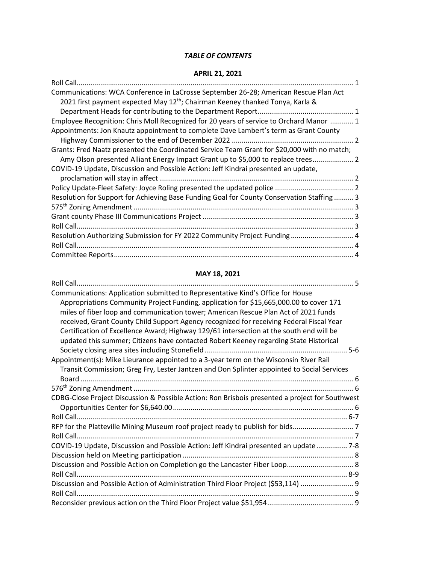## *TABLE OF CONTENTS*

## **APRIL 21, 2021**

| Communications: WCA Conference in LaCrosse September 26-28; American Rescue Plan Act        |  |
|---------------------------------------------------------------------------------------------|--|
| 2021 first payment expected May 12 <sup>th</sup> ; Chairman Keeney thanked Tonya, Karla &   |  |
|                                                                                             |  |
| Employee Recognition: Chris Moll Recognized for 20 years of service to Orchard Manor  1     |  |
| Appointments: Jon Knautz appointment to complete Dave Lambert's term as Grant County        |  |
|                                                                                             |  |
| Grants: Fred Naatz presented the Coordinated Service Team Grant for \$20,000 with no match; |  |
| Amy Olson presented Alliant Energy Impact Grant up to \$5,000 to replace trees 2            |  |
| COVID-19 Update, Discussion and Possible Action: Jeff Kindrai presented an update,          |  |
|                                                                                             |  |
|                                                                                             |  |
| Resolution for Support for Achieving Base Funding Goal for County Conservation Staffing 3   |  |
|                                                                                             |  |
|                                                                                             |  |
|                                                                                             |  |
| Resolution Authorizing Submission for FY 2022 Community Project Funding 4                   |  |
|                                                                                             |  |
|                                                                                             |  |

## **MAY 18, 2021**

| <b>Roll Call</b>                                                                                |
|-------------------------------------------------------------------------------------------------|
| Communications: Application submitted to Representative Kind's Office for House                 |
| Appropriations Community Project Funding, application for \$15,665,000.00 to cover 171          |
| miles of fiber loop and communication tower; American Rescue Plan Act of 2021 funds             |
| received, Grant County Child Support Agency recognized for receiving Federal Fiscal Year        |
| Certification of Excellence Award; Highway 129/61 intersection at the south end will be         |
| updated this summer; Citizens have contacted Robert Keeney regarding State Historical           |
|                                                                                                 |
| Appointment(s): Mike Lieurance appointed to a 3-year term on the Wisconsin River Rail           |
| Transit Commission; Greg Fry, Lester Jantzen and Don Splinter appointed to Social Services      |
|                                                                                                 |
|                                                                                                 |
| CDBG-Close Project Discussion & Possible Action: Ron Brisbois presented a project for Southwest |
|                                                                                                 |
|                                                                                                 |
|                                                                                                 |
|                                                                                                 |
| COVID-19 Update, Discussion and Possible Action: Jeff Kindrai presented an update 7-8           |
|                                                                                                 |
| Discussion and Possible Action on Completion go the Lancaster Fiber Loop 8                      |
|                                                                                                 |
| Discussion and Possible Action of Administration Third Floor Project (\$53,114)  9              |
|                                                                                                 |
|                                                                                                 |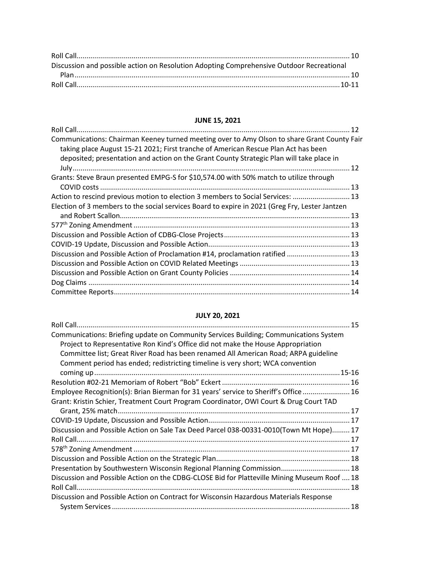| Discussion and possible action on Resolution Adopting Comprehensive Outdoor Recreational |  |
|------------------------------------------------------------------------------------------|--|
|                                                                                          |  |
|                                                                                          |  |

# **JUNE 15, 2021**

| Communications: Chairman Keeney turned meeting over to Amy Olson to share Grant County Fair<br>taking place August 15-21 2021; First tranche of American Rescue Plan Act has been<br>deposited; presentation and action on the Grant County Strategic Plan will take place in |  |
|-------------------------------------------------------------------------------------------------------------------------------------------------------------------------------------------------------------------------------------------------------------------------------|--|
|                                                                                                                                                                                                                                                                               |  |
| Grants: Steve Braun presented EMPG-S for \$10,574.00 with 50% match to utilize through                                                                                                                                                                                        |  |
| Action to rescind previous motion to election 3 members to Social Services:  13                                                                                                                                                                                               |  |
| Election of 3 members to the social services Board to expire in 2021 (Greg Fry, Lester Jantzen                                                                                                                                                                                |  |
|                                                                                                                                                                                                                                                                               |  |
|                                                                                                                                                                                                                                                                               |  |
|                                                                                                                                                                                                                                                                               |  |
|                                                                                                                                                                                                                                                                               |  |
| Discussion and Possible Action of Proclamation #14, proclamation ratified  13                                                                                                                                                                                                 |  |
|                                                                                                                                                                                                                                                                               |  |
|                                                                                                                                                                                                                                                                               |  |
|                                                                                                                                                                                                                                                                               |  |
|                                                                                                                                                                                                                                                                               |  |

# **JULY 20, 2021**

| Communications: Briefing update on Community Services Building; Communications System       |  |
|---------------------------------------------------------------------------------------------|--|
| Project to Representative Ron Kind's Office did not make the House Appropriation            |  |
| Committee list; Great River Road has been renamed All American Road; ARPA guideline         |  |
| Comment period has ended; redistricting timeline is very short; WCA convention              |  |
|                                                                                             |  |
|                                                                                             |  |
| Employee Recognition(s): Brian Bierman for 31 years' service to Sheriff's Office 16         |  |
| Grant: Kristin Schier, Treatment Court Program Coordinator, OWI Court & Drug Court TAD      |  |
|                                                                                             |  |
|                                                                                             |  |
| Discussion and Possible Action on Sale Tax Deed Parcel 038-00331-0010(Town Mt Hope) 17      |  |
|                                                                                             |  |
|                                                                                             |  |
|                                                                                             |  |
| Presentation by Southwestern Wisconsin Regional Planning Commission 18                      |  |
| Discussion and Possible Action on the CDBG-CLOSE Bid for Platteville Mining Museum Roof  18 |  |
|                                                                                             |  |
| Discussion and Possible Action on Contract for Wisconsin Hazardous Materials Response       |  |
|                                                                                             |  |
|                                                                                             |  |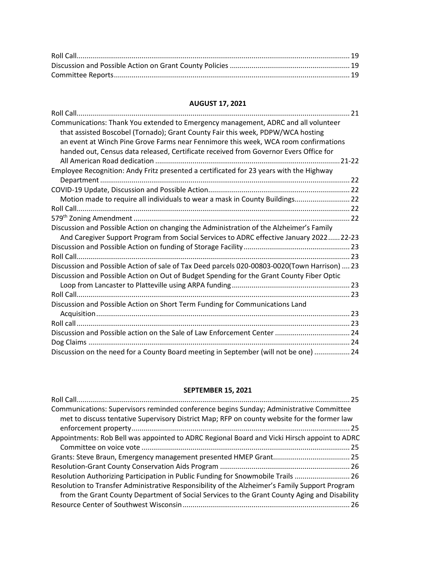## **AUGUST 17, 2021**

| Communications: Thank You extended to Emergency management, ADRC and all volunteer           |
|----------------------------------------------------------------------------------------------|
| that assisted Boscobel (Tornado); Grant County Fair this week, PDPW/WCA hosting              |
| an event at Winch Pine Grove Farms near Fennimore this week, WCA room confirmations          |
| handed out, Census data released, Certificate received from Governor Evers Office for        |
|                                                                                              |
| Employee Recognition: Andy Fritz presented a certificated for 23 years with the Highway      |
|                                                                                              |
|                                                                                              |
| Motion made to require all individuals to wear a mask in County Buildings 22                 |
|                                                                                              |
|                                                                                              |
| Discussion and Possible Action on changing the Administration of the Alzheimer's Family      |
| And Caregiver Support Program from Social Services to ADRC effective January 202222-23       |
|                                                                                              |
|                                                                                              |
| Discussion and Possible Action of sale of Tax Deed parcels 020-00803-0020(Town Harrison)  23 |
| Discussion and Possible Action on Out of Budget Spending for the Grant County Fiber Optic    |
|                                                                                              |
|                                                                                              |
| Discussion and Possible Action on Short Term Funding for Communications Land                 |
|                                                                                              |
|                                                                                              |
|                                                                                              |
|                                                                                              |
| Discussion on the need for a County Board meeting in September (will not be one)  24         |

## **SEPTEMBER 15, 2021**

| Communications: Supervisors reminded conference begins Sunday; Administrative Committee        |
|------------------------------------------------------------------------------------------------|
| met to discuss tentative Supervisory District Map; RFP on county website for the former law    |
|                                                                                                |
| Appointments: Rob Bell was appointed to ADRC Regional Board and Vicki Hirsch appoint to ADRC   |
|                                                                                                |
|                                                                                                |
|                                                                                                |
| Resolution Authorizing Participation in Public Funding for Snowmobile Trails  26               |
| Resolution to Transfer Administrative Responsibility of the Alzheimer's Family Support Program |
| from the Grant County Department of Social Services to the Grant County Aging and Disability   |
|                                                                                                |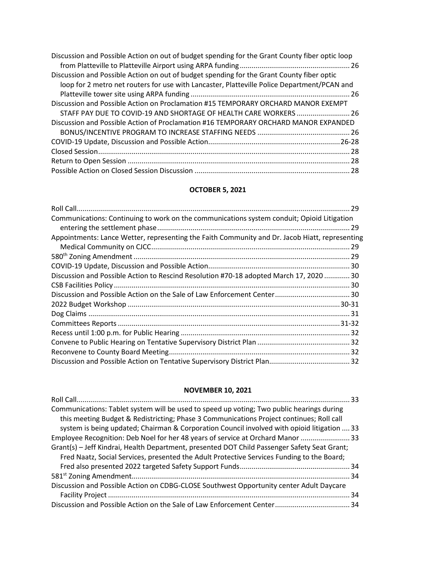| Discussion and Possible Action on out of budget spending for the Grant County fiber optic loop |  |
|------------------------------------------------------------------------------------------------|--|
| Discussion and Possible Action on out of budget spending for the Grant County fiber optic      |  |
| loop for 2 metro net routers for use with Lancaster, Platteville Police Department/PCAN and    |  |
|                                                                                                |  |
| Discussion and Possible Action on Proclamation #15 TEMPORARY ORCHARD MANOR EXEMPT              |  |
| STAFF PAY DUE TO COVID-19 AND SHORTAGE OF HEALTH CARE WORKERS  26                              |  |
| Discussion and Possible Action of Proclamation #16 TEMPORARY ORCHARD MANOR EXPANDED            |  |
|                                                                                                |  |
|                                                                                                |  |
|                                                                                                |  |
|                                                                                                |  |
|                                                                                                |  |

## **OCTOBER 5, 2021**

|                                                                                                | 29   |
|------------------------------------------------------------------------------------------------|------|
| Communications: Continuing to work on the communications system conduit; Opioid Litigation     |      |
|                                                                                                | . 29 |
| Appointments: Lance Wetter, representing the Faith Community and Dr. Jacob Hiatt, representing |      |
|                                                                                                |      |
|                                                                                                |      |
|                                                                                                |      |
| Discussion and Possible Action to Rescind Resolution #70-18 adopted March 17, 2020  30         |      |
|                                                                                                |      |
|                                                                                                |      |
|                                                                                                |      |
|                                                                                                |      |
|                                                                                                |      |
|                                                                                                |      |
|                                                                                                |      |
|                                                                                                |      |
|                                                                                                |      |

## **NOVEMBER 10, 2021**

| Communications: Tablet system will be used to speed up voting; Two public hearings during    |  |
|----------------------------------------------------------------------------------------------|--|
| this meeting Budget & Redistricting; Phase 3 Communications Project continues; Roll call     |  |
| system is being updated; Chairman & Corporation Council involved with opioid litigation  33  |  |
| Employee Recognition: Deb Noel for her 48 years of service at Orchard Manor  33              |  |
| Grant(s) - Jeff Kindrai, Health Department, presented DOT Child Passenger Safety Seat Grant; |  |
| Fred Naatz, Social Services, presented the Adult Protective Services Funding to the Board;   |  |
|                                                                                              |  |
|                                                                                              |  |
| Discussion and Possible Action on CDBG-CLOSE Southwest Opportunity center Adult Daycare      |  |
|                                                                                              |  |
|                                                                                              |  |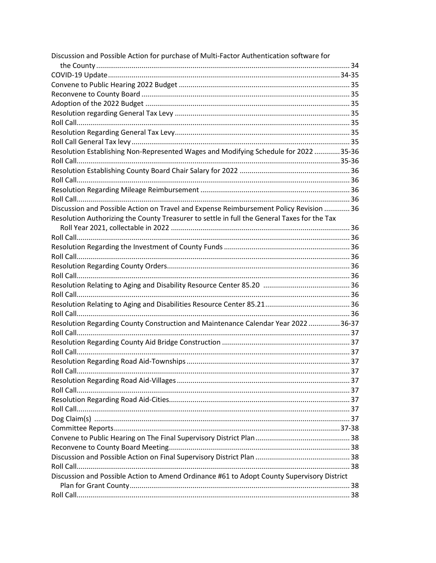| Discussion and Possible Action for purchase of Multi-Factor Authentication software for     |  |
|---------------------------------------------------------------------------------------------|--|
|                                                                                             |  |
|                                                                                             |  |
|                                                                                             |  |
|                                                                                             |  |
|                                                                                             |  |
|                                                                                             |  |
|                                                                                             |  |
|                                                                                             |  |
|                                                                                             |  |
| Resolution Establishing Non-Represented Wages and Modifying Schedule for 2022 35-36         |  |
|                                                                                             |  |
|                                                                                             |  |
|                                                                                             |  |
|                                                                                             |  |
|                                                                                             |  |
| Discussion and Possible Action on Travel and Expense Reimbursement Policy Revision  36      |  |
| Resolution Authorizing the County Treasurer to settle in full the General Taxes for the Tax |  |
|                                                                                             |  |
|                                                                                             |  |
|                                                                                             |  |
|                                                                                             |  |
|                                                                                             |  |
|                                                                                             |  |
|                                                                                             |  |
|                                                                                             |  |
|                                                                                             |  |
|                                                                                             |  |
| Resolution Regarding County Construction and Maintenance Calendar Year 2022 36-37           |  |
|                                                                                             |  |
|                                                                                             |  |
|                                                                                             |  |
|                                                                                             |  |
|                                                                                             |  |
|                                                                                             |  |
|                                                                                             |  |
|                                                                                             |  |
|                                                                                             |  |
|                                                                                             |  |
|                                                                                             |  |
|                                                                                             |  |
|                                                                                             |  |
|                                                                                             |  |
|                                                                                             |  |
| Discussion and Possible Action to Amend Ordinance #61 to Adopt County Supervisory District  |  |
|                                                                                             |  |
|                                                                                             |  |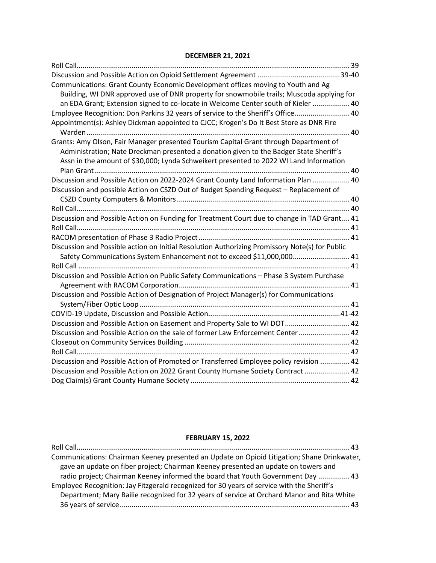### **DECEMBER 21, 2021**

| Communications: Grant County Economic Development offices moving to Youth and Ag               |
|------------------------------------------------------------------------------------------------|
| Building, WI DNR approved use of DNR property for snowmobile trails; Muscoda applying for      |
| an EDA Grant; Extension signed to co-locate in Welcome Center south of Kieler  40              |
| Employee Recognition: Don Parkins 32 years of service to the Sheriff's Office 40               |
| Appointment(s): Ashley Dickman appointed to CJCC; Krogen's Do It Best Store as DNR Fire        |
|                                                                                                |
| Grants: Amy Olson, Fair Manager presented Tourism Capital Grant through Department of          |
| Administration; Nate Dreckman presented a donation given to the Badger State Sheriff's         |
| Assn in the amount of \$30,000; Lynda Schweikert presented to 2022 WI Land Information         |
|                                                                                                |
| Discussion and Possible Action on 2022-2024 Grant County Land Information Plan  40             |
| Discussion and possible Action on CSZD Out of Budget Spending Request - Replacement of         |
|                                                                                                |
|                                                                                                |
| Discussion and Possible Action on Funding for Treatment Court due to change in TAD Grant 41    |
|                                                                                                |
|                                                                                                |
| Discussion and Possible action on Initial Resolution Authorizing Promissory Note(s) for Public |
| Safety Communications System Enhancement not to exceed \$11,000,000 41                         |
|                                                                                                |
| Discussion and Possible Action on Public Safety Communications - Phase 3 System Purchase       |
|                                                                                                |
| Discussion and Possible Action of Designation of Project Manager(s) for Communications         |
|                                                                                                |
|                                                                                                |
| Discussion and Possible Action on Easement and Property Sale to WI DOT 42                      |
| Discussion and Possible Action on the sale of former Law Enforcement Center  42                |
|                                                                                                |
|                                                                                                |
| Discussion and Possible Action of Promoted or Transferred Employee policy revision  42         |
| Discussion and Possible Action on 2022 Grant County Humane Society Contract  42                |
|                                                                                                |

#### **FEBRUARY 15, 2022**

| Communications: Chairman Keeney presented an Update on Opioid Litigation; Shane Drinkwater, |
|---------------------------------------------------------------------------------------------|
| gave an update on fiber project; Chairman Keeney presented an update on towers and          |
| radio project; Chairman Keeney informed the board that Youth Government Day  43             |
| Employee Recognition: Jay Fitzgerald recognized for 30 years of service with the Sheriff's  |
| Department; Mary Bailie recognized for 32 years of service at Orchard Manor and Rita White  |
|                                                                                             |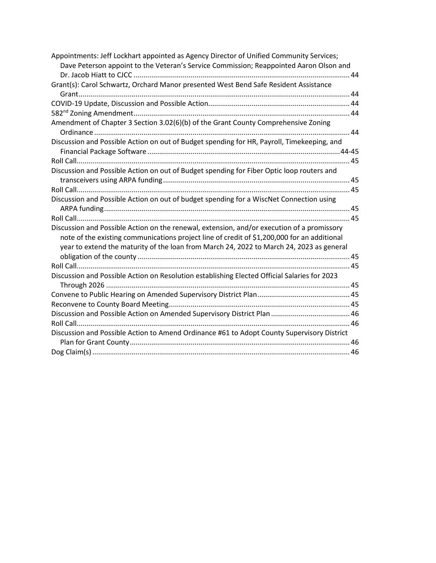| Appointments: Jeff Lockhart appointed as Agency Director of Unified Community Services;      |
|----------------------------------------------------------------------------------------------|
| Dave Peterson appoint to the Veteran's Service Commission; Reappointed Aaron Olson and       |
|                                                                                              |
| Grant(s): Carol Schwartz, Orchard Manor presented West Bend Safe Resident Assistance         |
|                                                                                              |
|                                                                                              |
|                                                                                              |
| Amendment of Chapter 3 Section 3.02(6)(b) of the Grant County Comprehensive Zoning           |
|                                                                                              |
| Discussion and Possible Action on out of Budget spending for HR, Payroll, Timekeeping, and   |
|                                                                                              |
|                                                                                              |
| Discussion and Possible Action on out of Budget spending for Fiber Optic loop routers and    |
|                                                                                              |
|                                                                                              |
| Discussion and Possible Action on out of budget spending for a WiscNet Connection using      |
|                                                                                              |
|                                                                                              |
| Discussion and Possible Action on the renewal, extension, and/or execution of a promissory   |
| note of the existing communications project line of credit of \$1,200,000 for an additional  |
| year to extend the maturity of the loan from March 24, 2022 to March 24, 2023 as general     |
|                                                                                              |
|                                                                                              |
| Discussion and Possible Action on Resolution establishing Elected Official Salaries for 2023 |
|                                                                                              |
|                                                                                              |
|                                                                                              |
|                                                                                              |
|                                                                                              |
| Discussion and Possible Action to Amend Ordinance #61 to Adopt County Supervisory District   |
|                                                                                              |
|                                                                                              |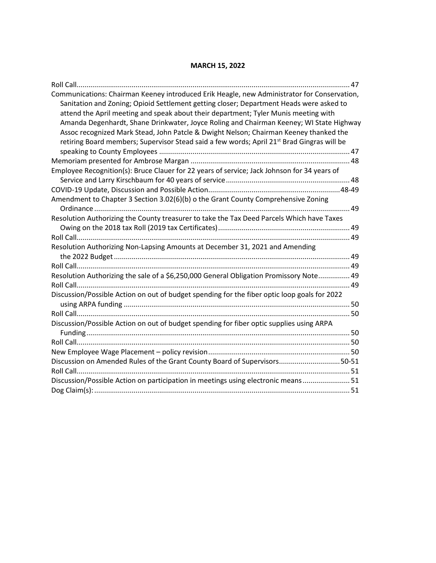## **MARCH 15, 2022**

| Roll Call                                                                                                                                                                              |  |
|----------------------------------------------------------------------------------------------------------------------------------------------------------------------------------------|--|
| Communications: Chairman Keeney introduced Erik Heagle, new Administrator for Conservation,<br>Sanitation and Zoning; Opioid Settlement getting closer; Department Heads were asked to |  |
| attend the April meeting and speak about their department; Tyler Munis meeting with                                                                                                    |  |
| Amanda Degenhardt, Shane Drinkwater, Joyce Roling and Chairman Keeney; WI State Highway<br>Assoc recognized Mark Stead, John Patcle & Dwight Nelson; Chairman Keeney thanked the       |  |
| retiring Board members; Supervisor Stead said a few words; April 21 <sup>st</sup> Brad Gingras will be                                                                                 |  |
|                                                                                                                                                                                        |  |
|                                                                                                                                                                                        |  |
| Employee Recognition(s): Bruce Clauer for 22 years of service; Jack Johnson for 34 years of                                                                                            |  |
|                                                                                                                                                                                        |  |
|                                                                                                                                                                                        |  |
| Amendment to Chapter 3 Section 3.02(6)(b) o the Grant County Comprehensive Zoning                                                                                                      |  |
|                                                                                                                                                                                        |  |
| Resolution Authorizing the County treasurer to take the Tax Deed Parcels Which have Taxes                                                                                              |  |
|                                                                                                                                                                                        |  |
|                                                                                                                                                                                        |  |
| Resolution Authorizing Non-Lapsing Amounts at December 31, 2021 and Amending                                                                                                           |  |
|                                                                                                                                                                                        |  |
|                                                                                                                                                                                        |  |
| Resolution Authorizing the sale of a \$6,250,000 General Obligation Promissory Note 49                                                                                                 |  |
|                                                                                                                                                                                        |  |
| Discussion/Possible Action on out of budget spending for the fiber optic loop goals for 2022                                                                                           |  |
|                                                                                                                                                                                        |  |
|                                                                                                                                                                                        |  |
| Discussion/Possible Action on out of budget spending for fiber optic supplies using ARPA                                                                                               |  |
|                                                                                                                                                                                        |  |
|                                                                                                                                                                                        |  |
| Discussion on Amended Rules of the Grant County Board of Supervisors50-51                                                                                                              |  |
|                                                                                                                                                                                        |  |
| Discussion/Possible Action on participation in meetings using electronic means 51                                                                                                      |  |
|                                                                                                                                                                                        |  |
|                                                                                                                                                                                        |  |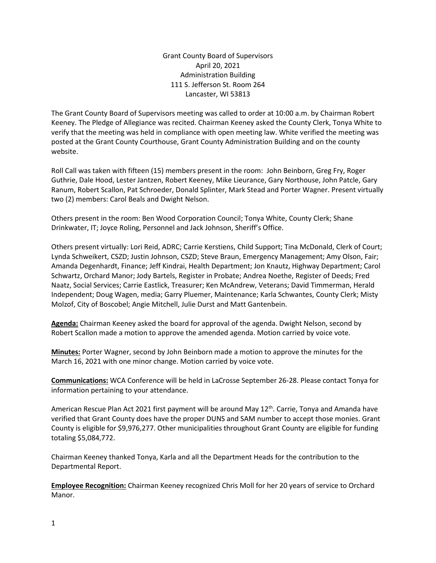Grant County Board of Supervisors April 20, 2021 Administration Building 111 S. Jefferson St. Room 264 Lancaster, WI 53813

The Grant County Board of Supervisors meeting was called to order at 10:00 a.m. by Chairman Robert Keeney. The Pledge of Allegiance was recited. Chairman Keeney asked the County Clerk, Tonya White to verify that the meeting was held in compliance with open meeting law. White verified the meeting was posted at the Grant County Courthouse, Grant County Administration Building and on the county website.

Roll Call was taken with fifteen (15) members present in the room: John Beinborn, Greg Fry, Roger Guthrie, Dale Hood, Lester Jantzen, Robert Keeney, Mike Lieurance, Gary Northouse, John Patcle, Gary Ranum, Robert Scallon, Pat Schroeder, Donald Splinter, Mark Stead and Porter Wagner. Present virtually two (2) members: Carol Beals and Dwight Nelson.

Others present in the room: Ben Wood Corporation Council; Tonya White, County Clerk; Shane Drinkwater, IT; Joyce Roling, Personnel and Jack Johnson, Sheriff's Office.

Others present virtually: Lori Reid, ADRC; Carrie Kerstiens, Child Support; Tina McDonald, Clerk of Court; Lynda Schweikert, CSZD; Justin Johnson, CSZD; Steve Braun, Emergency Management; Amy Olson, Fair; Amanda Degenhardt, Finance; Jeff Kindrai, Health Department; Jon Knautz, Highway Department; Carol Schwartz, Orchard Manor; Jody Bartels, Register in Probate; Andrea Noethe, Register of Deeds; Fred Naatz, Social Services; Carrie Eastlick, Treasurer; Ken McAndrew, Veterans; David Timmerman, Herald Independent; Doug Wagen, media; Garry Pluemer, Maintenance; Karla Schwantes, County Clerk; Misty Molzof, City of Boscobel; Angie Mitchell, Julie Durst and Matt Gantenbein.

**Agenda:** Chairman Keeney asked the board for approval of the agenda. Dwight Nelson, second by Robert Scallon made a motion to approve the amended agenda. Motion carried by voice vote.

**Minutes:** Porter Wagner, second by John Beinborn made a motion to approve the minutes for the March 16, 2021 with one minor change. Motion carried by voice vote.

**Communications:** WCA Conference will be held in LaCrosse September 26-28. Please contact Tonya for information pertaining to your attendance.

American Rescue Plan Act 2021 first payment will be around May  $12<sup>th</sup>$ . Carrie, Tonya and Amanda have verified that Grant County does have the proper DUNS and SAM number to accept those monies. Grant County is eligible for \$9,976,277. Other municipalities throughout Grant County are eligible for funding totaling \$5,084,772.

Chairman Keeney thanked Tonya, Karla and all the Department Heads for the contribution to the Departmental Report.

**Employee Recognition:** Chairman Keeney recognized Chris Moll for her 20 years of service to Orchard Manor.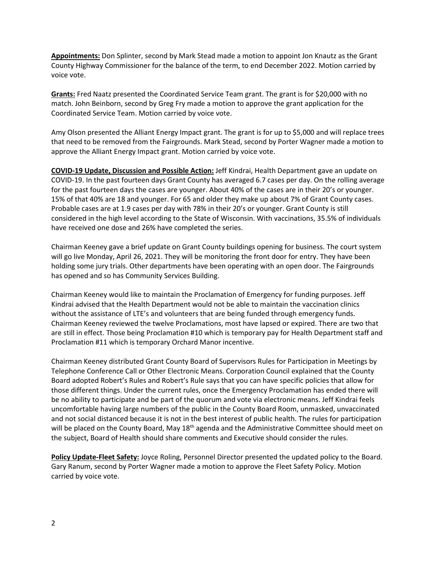**Appointments:** Don Splinter, second by Mark Stead made a motion to appoint Jon Knautz as the Grant County Highway Commissioner for the balance of the term, to end December 2022. Motion carried by voice vote.

**Grants:** Fred Naatz presented the Coordinated Service Team grant. The grant is for \$20,000 with no match. John Beinborn, second by Greg Fry made a motion to approve the grant application for the Coordinated Service Team. Motion carried by voice vote.

Amy Olson presented the Alliant Energy Impact grant. The grant is for up to \$5,000 and will replace trees that need to be removed from the Fairgrounds. Mark Stead, second by Porter Wagner made a motion to approve the Alliant Energy Impact grant. Motion carried by voice vote.

**COVID-19 Update, Discussion and Possible Action:** Jeff Kindrai, Health Department gave an update on COVID-19. In the past fourteen days Grant County has averaged 6.7 cases per day. On the rolling average for the past fourteen days the cases are younger. About 40% of the cases are in their 20's or younger. 15% of that 40% are 18 and younger. For 65 and older they make up about 7% of Grant County cases. Probable cases are at 1.9 cases per day with 78% in their 20's or younger. Grant County is still considered in the high level according to the State of Wisconsin. With vaccinations, 35.5% of individuals have received one dose and 26% have completed the series.

Chairman Keeney gave a brief update on Grant County buildings opening for business. The court system will go live Monday, April 26, 2021. They will be monitoring the front door for entry. They have been holding some jury trials. Other departments have been operating with an open door. The Fairgrounds has opened and so has Community Services Building.

Chairman Keeney would like to maintain the Proclamation of Emergency for funding purposes. Jeff Kindrai advised that the Health Department would not be able to maintain the vaccination clinics without the assistance of LTE's and volunteers that are being funded through emergency funds. Chairman Keeney reviewed the twelve Proclamations, most have lapsed or expired. There are two that are still in effect. Those being Proclamation #10 which is temporary pay for Health Department staff and Proclamation #11 which is temporary Orchard Manor incentive.

Chairman Keeney distributed Grant County Board of Supervisors Rules for Participation in Meetings by Telephone Conference Call or Other Electronic Means. Corporation Council explained that the County Board adopted Robert's Rules and Robert's Rule says that you can have specific policies that allow for those different things. Under the current rules, once the Emergency Proclamation has ended there will be no ability to participate and be part of the quorum and vote via electronic means. Jeff Kindrai feels uncomfortable having large numbers of the public in the County Board Room, unmasked, unvaccinated and not social distanced because it is not in the best interest of public health. The rules for participation will be placed on the County Board, May 18<sup>th</sup> agenda and the Administrative Committee should meet on the subject, Board of Health should share comments and Executive should consider the rules.

**Policy Update-Fleet Safety:** Joyce Roling, Personnel Director presented the updated policy to the Board. Gary Ranum, second by Porter Wagner made a motion to approve the Fleet Safety Policy. Motion carried by voice vote.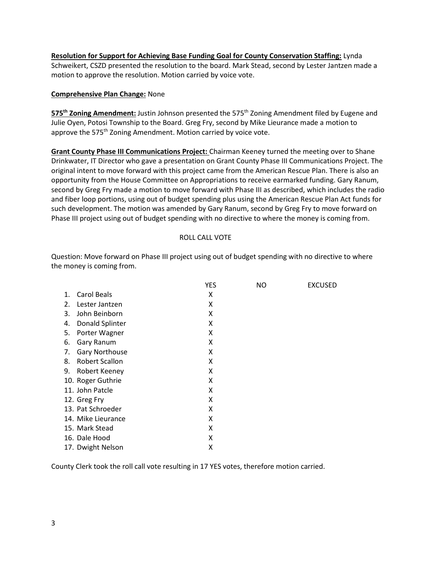**Resolution for Support for Achieving Base Funding Goal for County Conservation Staffing:** Lynda Schweikert, CSZD presented the resolution to the board. Mark Stead, second by Lester Jantzen made a motion to approve the resolution. Motion carried by voice vote.

## **Comprehensive Plan Change:** None

575<sup>th</sup> Zoning Amendment: Justin Johnson presented the 575<sup>th</sup> Zoning Amendment filed by Eugene and Julie Oyen, Potosi Township to the Board. Greg Fry, second by Mike Lieurance made a motion to approve the 575<sup>th</sup> Zoning Amendment. Motion carried by voice vote.

**Grant County Phase III Communications Project:** Chairman Keeney turned the meeting over to Shane Drinkwater, IT Director who gave a presentation on Grant County Phase III Communications Project. The original intent to move forward with this project came from the American Rescue Plan. There is also an opportunity from the House Committee on Appropriations to receive earmarked funding. Gary Ranum, second by Greg Fry made a motion to move forward with Phase III as described, which includes the radio and fiber loop portions, using out of budget spending plus using the American Rescue Plan Act funds for such development. The motion was amended by Gary Ranum, second by Greg Fry to move forward on Phase III project using out of budget spending with no directive to where the money is coming from.

### ROLL CALL VOTE

Question: Move forward on Phase III project using out of budget spending with no directive to where the money is coming from.

|    |                       | <b>YES</b> | NO | <b>EXCUSED</b> |
|----|-----------------------|------------|----|----------------|
| 1. | Carol Beals           | Χ          |    |                |
| 2. | Lester Jantzen        | Χ          |    |                |
| 3. | John Beinborn         | X          |    |                |
| 4. | Donald Splinter       | X          |    |                |
| 5. | Porter Wagner         | x          |    |                |
| 6. | Gary Ranum            | X          |    |                |
| 7. | Gary Northouse        | Χ          |    |                |
| 8. | <b>Robert Scallon</b> | X          |    |                |
| 9. | Robert Keeney         | Χ          |    |                |
|    | 10. Roger Guthrie     | X          |    |                |
|    | 11. John Patcle       | X          |    |                |
|    | 12. Greg Fry          | Χ          |    |                |
|    | 13. Pat Schroeder     | X          |    |                |
|    | 14. Mike Lieurance    | X          |    |                |
|    | 15. Mark Stead        | X          |    |                |
|    | 16. Dale Hood         | Χ          |    |                |
|    | 17. Dwight Nelson     | Χ          |    |                |

County Clerk took the roll call vote resulting in 17 YES votes, therefore motion carried.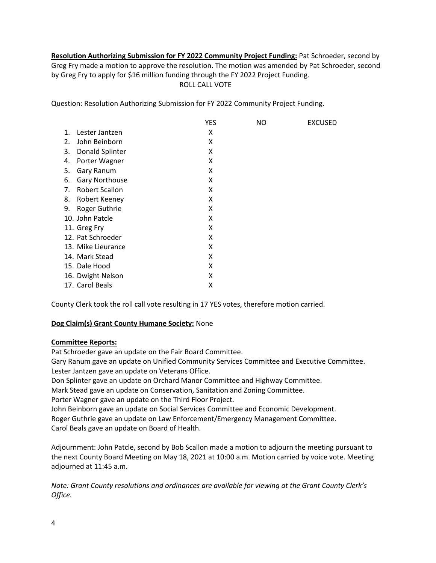**Resolution Authorizing Submission for FY 2022 Community Project Funding:** Pat Schroeder, second by Greg Fry made a motion to approve the resolution. The motion was amended by Pat Schroeder, second by Greg Fry to apply for \$16 million funding through the FY 2022 Project Funding. ROLL CALL VOTE

Question: Resolution Authorizing Submission for FY 2022 Community Project Funding.

|    |                       | <b>YES</b> | <b>NO</b> | <b>EXCUSED</b> |
|----|-----------------------|------------|-----------|----------------|
| 1. | Lester Jantzen        | Χ          |           |                |
| 2. | John Beinborn         | Χ          |           |                |
| 3. | Donald Splinter       | X          |           |                |
| 4. | Porter Wagner         | X          |           |                |
| 5. | Gary Ranum            | Χ          |           |                |
| 6. | Gary Northouse        | Χ          |           |                |
| 7. | <b>Robert Scallon</b> | Χ          |           |                |
| 8. | Robert Keeney         | X          |           |                |
| 9. | Roger Guthrie         | Χ          |           |                |
|    | 10. John Patcle       | Χ          |           |                |
|    | 11. Greg Fry          | Χ          |           |                |
|    | 12. Pat Schroeder     | Χ          |           |                |
|    | 13. Mike Lieurance    | Χ          |           |                |
|    | 14. Mark Stead        | X          |           |                |
|    | 15. Dale Hood         | Χ          |           |                |
|    | 16. Dwight Nelson     | Χ          |           |                |
|    | 17. Carol Beals       | Χ          |           |                |

County Clerk took the roll call vote resulting in 17 YES votes, therefore motion carried.

## **Dog Claim(s) Grant County Humane Society:** None

## **Committee Reports:**

Pat Schroeder gave an update on the Fair Board Committee.

Gary Ranum gave an update on Unified Community Services Committee and Executive Committee. Lester Jantzen gave an update on Veterans Office.

Don Splinter gave an update on Orchard Manor Committee and Highway Committee.

Mark Stead gave an update on Conservation, Sanitation and Zoning Committee.

Porter Wagner gave an update on the Third Floor Project.

John Beinborn gave an update on Social Services Committee and Economic Development. Roger Guthrie gave an update on Law Enforcement/Emergency Management Committee. Carol Beals gave an update on Board of Health.

Adjournment: John Patcle, second by Bob Scallon made a motion to adjourn the meeting pursuant to the next County Board Meeting on May 18, 2021 at 10:00 a.m. Motion carried by voice vote. Meeting adjourned at 11:45 a.m.

*Note: Grant County resolutions and ordinances are available for viewing at the Grant County Clerk's Office.*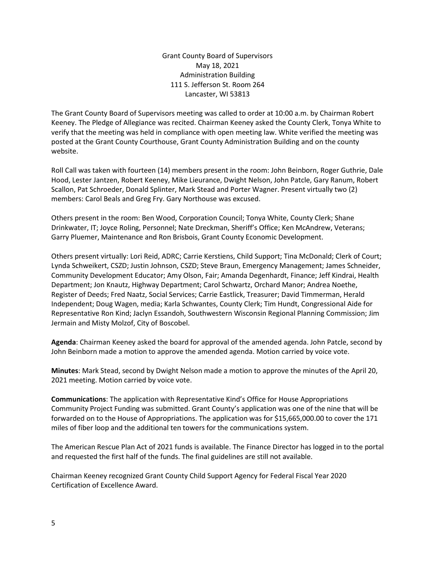Grant County Board of Supervisors May 18, 2021 Administration Building 111 S. Jefferson St. Room 264 Lancaster, WI 53813

The Grant County Board of Supervisors meeting was called to order at 10:00 a.m. by Chairman Robert Keeney. The Pledge of Allegiance was recited. Chairman Keeney asked the County Clerk, Tonya White to verify that the meeting was held in compliance with open meeting law. White verified the meeting was posted at the Grant County Courthouse, Grant County Administration Building and on the county website.

Roll Call was taken with fourteen (14) members present in the room: John Beinborn, Roger Guthrie, Dale Hood, Lester Jantzen, Robert Keeney, Mike Lieurance, Dwight Nelson, John Patcle, Gary Ranum, Robert Scallon, Pat Schroeder, Donald Splinter, Mark Stead and Porter Wagner. Present virtually two (2) members: Carol Beals and Greg Fry. Gary Northouse was excused.

Others present in the room: Ben Wood, Corporation Council; Tonya White, County Clerk; Shane Drinkwater, IT; Joyce Roling, Personnel; Nate Dreckman, Sheriff's Office; Ken McAndrew, Veterans; Garry Pluemer, Maintenance and Ron Brisbois, Grant County Economic Development.

Others present virtually: Lori Reid, ADRC; Carrie Kerstiens, Child Support; Tina McDonald; Clerk of Court; Lynda Schweikert, CSZD; Justin Johnson, CSZD; Steve Braun, Emergency Management; James Schneider, Community Development Educator; Amy Olson, Fair; Amanda Degenhardt, Finance; Jeff Kindrai, Health Department; Jon Knautz, Highway Department; Carol Schwartz, Orchard Manor; Andrea Noethe, Register of Deeds; Fred Naatz, Social Services; Carrie Eastlick, Treasurer; David Timmerman, Herald Independent; Doug Wagen, media; Karla Schwantes, County Clerk; Tim Hundt, Congressional Aide for Representative Ron Kind; Jaclyn Essandoh, Southwestern Wisconsin Regional Planning Commission; Jim Jermain and Misty Molzof, City of Boscobel.

**Agenda**: Chairman Keeney asked the board for approval of the amended agenda. John Patcle, second by John Beinborn made a motion to approve the amended agenda. Motion carried by voice vote.

**Minutes**: Mark Stead, second by Dwight Nelson made a motion to approve the minutes of the April 20, 2021 meeting. Motion carried by voice vote.

**Communications**: The application with Representative Kind's Office for House Appropriations Community Project Funding was submitted. Grant County's application was one of the nine that will be forwarded on to the House of Appropriations. The application was for \$15,665,000.00 to cover the 171 miles of fiber loop and the additional ten towers for the communications system.

The American Rescue Plan Act of 2021 funds is available. The Finance Director has logged in to the portal and requested the first half of the funds. The final guidelines are still not available.

Chairman Keeney recognized Grant County Child Support Agency for Federal Fiscal Year 2020 Certification of Excellence Award.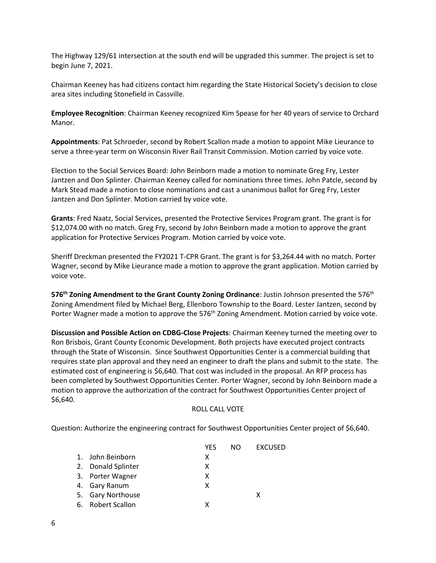The Highway 129/61 intersection at the south end will be upgraded this summer. The project is set to begin June 7, 2021.

Chairman Keeney has had citizens contact him regarding the State Historical Society's decision to close area sites including Stonefield in Cassville.

**Employee Recognition**: Chairman Keeney recognized Kim Spease for her 40 years of service to Orchard Manor.

**Appointments**: Pat Schroeder, second by Robert Scallon made a motion to appoint Mike Lieurance to serve a three-year term on Wisconsin River Rail Transit Commission. Motion carried by voice vote.

Election to the Social Services Board: John Beinborn made a motion to nominate Greg Fry, Lester Jantzen and Don Splinter. Chairman Keeney called for nominations three times. John Patcle, second by Mark Stead made a motion to close nominations and cast a unanimous ballot for Greg Fry, Lester Jantzen and Don Splinter. Motion carried by voice vote.

**Grants**: Fred Naatz, Social Services, presented the Protective Services Program grant. The grant is for \$12,074.00 with no match. Greg Fry, second by John Beinborn made a motion to approve the grant application for Protective Services Program. Motion carried by voice vote.

Sheriff Dreckman presented the FY2021 T-CPR Grant. The grant is for \$3,264.44 with no match. Porter Wagner, second by Mike Lieurance made a motion to approve the grant application. Motion carried by voice vote.

**576<sup>th</sup> Zoning Amendment to the Grant County Zoning Ordinance: Justin Johnson presented the 576<sup>th</sup>** Zoning Amendment filed by Michael Berg, Ellenboro Township to the Board. Lester Jantzen, second by Porter Wagner made a motion to approve the  $576<sup>th</sup>$  Zoning Amendment. Motion carried by voice vote.

**Discussion and Possible Action on CDBG-Close Projects**: Chairman Keeney turned the meeting over to Ron Brisbois, Grant County Economic Development. Both projects have executed project contracts through the State of Wisconsin. Since Southwest Opportunities Center is a commercial building that requires state plan approval and they need an engineer to draft the plans and submit to the state. The estimated cost of engineering is \$6,640. That cost was included in the proposal. An RFP process has been completed by Southwest Opportunities Center. Porter Wagner, second by John Beinborn made a motion to approve the authorization of the contract for Southwest Opportunities Center project of \$6,640.

## ROLL CALL VOTE

Question: Authorize the engineering contract for Southwest Opportunities Center project of \$6,640.

|                    | <b>YES</b> | NO. | <b>EXCUSED</b> |
|--------------------|------------|-----|----------------|
| 1. John Beinborn   | x          |     |                |
| 2. Donald Splinter | x          |     |                |
| 3. Porter Wagner   | x          |     |                |
| 4. Gary Ranum      | x          |     |                |
| 5. Gary Northouse  |            |     | x              |
| 6. Robert Scallon  | x          |     |                |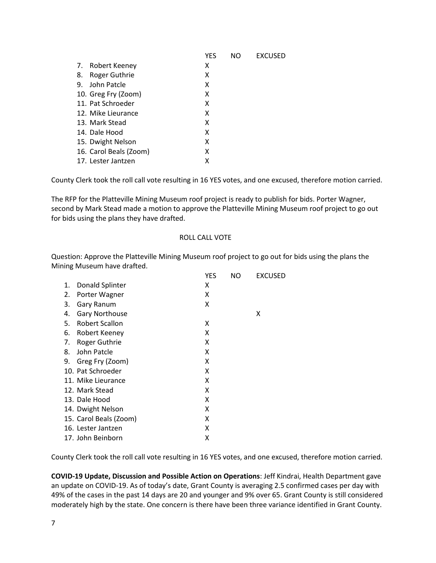|                            | YES | NO | <b>EXCUSED</b> |
|----------------------------|-----|----|----------------|
| 7. Robert Keeney           | х   |    |                |
| <b>Roger Guthrie</b><br>8. | x   |    |                |
| 9. John Patcle             | x   |    |                |
| 10. Greg Fry (Zoom)        | x   |    |                |
| 11. Pat Schroeder          | x   |    |                |
| 12. Mike Lieurance         | x   |    |                |
| 13. Mark Stead             | x   |    |                |
| 14. Dale Hood              | x   |    |                |
| 15. Dwight Nelson          | х   |    |                |
| 16. Carol Beals (Zoom)     | х   |    |                |
| 17. Lester Jantzen         | x   |    |                |

County Clerk took the roll call vote resulting in 16 YES votes, and one excused, therefore motion carried.

The RFP for the Platteville Mining Museum roof project is ready to publish for bids. Porter Wagner, second by Mark Stead made a motion to approve the Platteville Mining Museum roof project to go out for bids using the plans they have drafted.

#### ROLL CALL VOTE

Question: Approve the Platteville Mining Museum roof project to go out for bids using the plans the Mining Museum have drafted. YES NO EXCUSED

|    |                        | YES | NO | EXCUSED |
|----|------------------------|-----|----|---------|
| 1. | Donald Splinter        | x   |    |         |
| 2. | Porter Wagner          | x   |    |         |
| 3. | Gary Ranum             | x   |    |         |
| 4. | <b>Gary Northouse</b>  |     |    | x       |
| 5. | Robert Scallon         | x   |    |         |
| 6. | Robert Keeney          | x   |    |         |
| 7. | Roger Guthrie          | x   |    |         |
| 8. | John Patcle            | x   |    |         |
| 9. | Greg Fry (Zoom)        | x   |    |         |
|    | 10. Pat Schroeder      | x   |    |         |
|    | 11. Mike Lieurance     | x   |    |         |
|    | 12. Mark Stead         | x   |    |         |
|    | 13. Dale Hood          | x   |    |         |
|    | 14. Dwight Nelson      | x   |    |         |
|    | 15. Carol Beals (Zoom) | x   |    |         |
|    | 16. Lester Jantzen     | х   |    |         |
|    | 17. John Beinborn      | Χ   |    |         |

County Clerk took the roll call vote resulting in 16 YES votes, and one excused, therefore motion carried.

**COVID-19 Update, Discussion and Possible Action on Operations**: Jeff Kindrai, Health Department gave an update on COVID-19. As of today's date, Grant County is averaging 2.5 confirmed cases per day with 49% of the cases in the past 14 days are 20 and younger and 9% over 65. Grant County is still considered moderately high by the state. One concern is there have been three variance identified in Grant County.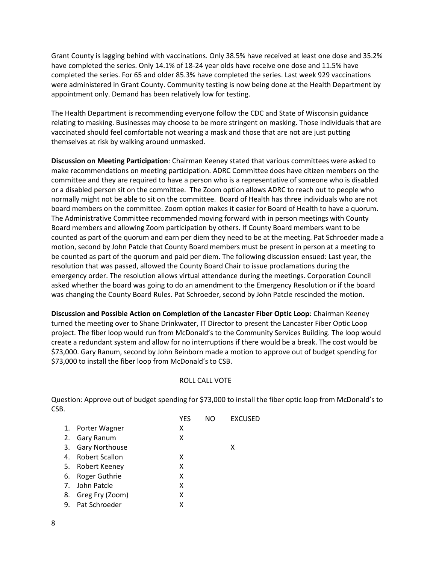Grant County is lagging behind with vaccinations. Only 38.5% have received at least one dose and 35.2% have completed the series. Only 14.1% of 18-24 year olds have receive one dose and 11.5% have completed the series. For 65 and older 85.3% have completed the series. Last week 929 vaccinations were administered in Grant County. Community testing is now being done at the Health Department by appointment only. Demand has been relatively low for testing.

The Health Department is recommending everyone follow the CDC and State of Wisconsin guidance relating to masking. Businesses may choose to be more stringent on masking. Those individuals that are vaccinated should feel comfortable not wearing a mask and those that are not are just putting themselves at risk by walking around unmasked.

**Discussion on Meeting Participation**: Chairman Keeney stated that various committees were asked to make recommendations on meeting participation. ADRC Committee does have citizen members on the committee and they are required to have a person who is a representative of someone who is disabled or a disabled person sit on the committee. The Zoom option allows ADRC to reach out to people who normally might not be able to sit on the committee. Board of Health has three individuals who are not board members on the committee. Zoom option makes it easier for Board of Health to have a quorum. The Administrative Committee recommended moving forward with in person meetings with County Board members and allowing Zoom participation by others. If County Board members want to be counted as part of the quorum and earn per diem they need to be at the meeting. Pat Schroeder made a motion, second by John Patcle that County Board members must be present in person at a meeting to be counted as part of the quorum and paid per diem. The following discussion ensued: Last year, the resolution that was passed, allowed the County Board Chair to issue proclamations during the emergency order. The resolution allows virtual attendance during the meetings. Corporation Council asked whether the board was going to do an amendment to the Emergency Resolution or if the board was changing the County Board Rules. Pat Schroeder, second by John Patcle rescinded the motion.

**Discussion and Possible Action on Completion of the Lancaster Fiber Optic Loop**: Chairman Keeney turned the meeting over to Shane Drinkwater, IT Director to present the Lancaster Fiber Optic Loop project. The fiber loop would run from McDonald's to the Community Services Building. The loop would create a redundant system and allow for no interruptions if there would be a break. The cost would be \$73,000. Gary Ranum, second by John Beinborn made a motion to approve out of budget spending for \$73,000 to install the fiber loop from McDonald's to CSB.

## ROLL CALL VOTE

Question: Approve out of budget spending for \$73,000 to install the fiber optic loop from McDonald's to CSB.

|    |                       | YES | NΟ | <b>EXCUSED</b> |
|----|-----------------------|-----|----|----------------|
|    | 1. Porter Wagner      | x   |    |                |
| 2. | Gary Ranum            | х   |    |                |
|    | 3. Gary Northouse     |     |    | х              |
| 4. | <b>Robert Scallon</b> | х   |    |                |
|    | 5. Robert Keeney      | х   |    |                |
|    | 6. Roger Guthrie      | x   |    |                |
|    | 7. John Patcle        | x   |    |                |
| 8. | Greg Fry (Zoom)       | x   |    |                |
|    | 9. Pat Schroeder      | x   |    |                |
|    |                       |     |    |                |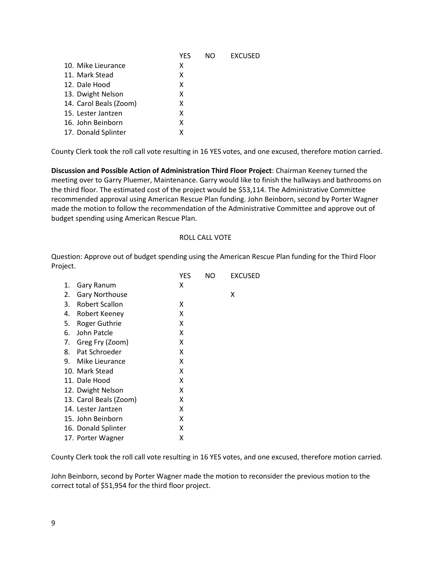|                        | YES | NΟ | <b>EXCUSED</b> |
|------------------------|-----|----|----------------|
| 10. Mike Lieurance     | х   |    |                |
| 11. Mark Stead         | x   |    |                |
| 12. Dale Hood          | x   |    |                |
| 13. Dwight Nelson      | х   |    |                |
| 14. Carol Beals (Zoom) | x   |    |                |
| 15. Lester Jantzen     | x   |    |                |
| 16. John Beinborn      | x   |    |                |
| 17. Donald Splinter    | x   |    |                |
|                        |     |    |                |

County Clerk took the roll call vote resulting in 16 YES votes, and one excused, therefore motion carried.

**Discussion and Possible Action of Administration Third Floor Project**: Chairman Keeney turned the meeting over to Garry Pluemer, Maintenance. Garry would like to finish the hallways and bathrooms on the third floor. The estimated cost of the project would be \$53,114. The Administrative Committee recommended approval using American Rescue Plan funding. John Beinborn, second by Porter Wagner made the motion to follow the recommendation of the Administrative Committee and approve out of budget spending using American Rescue Plan.

#### ROLL CALL VOTE

Question: Approve out of budget spending using the American Rescue Plan funding for the Third Floor Project.

| ハール |                        |     |     |         |
|-----|------------------------|-----|-----|---------|
|     |                        | YES | NO. | EXCUSED |
| 1.  | Gary Ranum             | x   |     |         |
| 2.  | <b>Gary Northouse</b>  |     |     | x       |
| 3.  | <b>Robert Scallon</b>  | x   |     |         |
| 4.  | Robert Keeney          | x   |     |         |
| 5.  | Roger Guthrie          | x   |     |         |
| 6.  | John Patcle            | x   |     |         |
| 7.  | Greg Fry (Zoom)        | x   |     |         |
| 8.  | Pat Schroeder          | x   |     |         |
| 9.  | Mike Lieurance         | x   |     |         |
|     | 10. Mark Stead         | X   |     |         |
|     | 11. Dale Hood          | x   |     |         |
|     | 12. Dwight Nelson      | x   |     |         |
|     | 13. Carol Beals (Zoom) | x   |     |         |
|     | 14. Lester Jantzen     | x   |     |         |
|     | 15. John Beinborn      | x   |     |         |
|     | 16. Donald Splinter    | x   |     |         |
|     | 17. Porter Wagner      | х   |     |         |
|     |                        |     |     |         |

County Clerk took the roll call vote resulting in 16 YES votes, and one excused, therefore motion carried.

John Beinborn, second by Porter Wagner made the motion to reconsider the previous motion to the correct total of \$51,954 for the third floor project.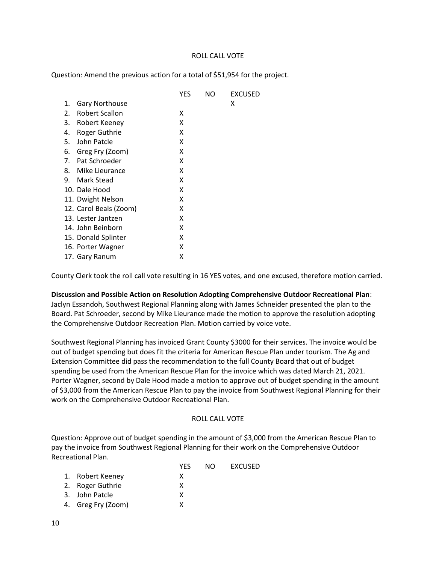### ROLL CALL VOTE

Question: Amend the previous action for a total of \$51,954 for the project.

|                        | YES | NΟ | EXCUSED |
|------------------------|-----|----|---------|
| Gary Northouse<br>1.   |     |    | х       |
| Robert Scallon<br>2.   | x   |    |         |
| 3.<br>Robert Keeney    | x   |    |         |
| Roger Guthrie<br>4.    | x   |    |         |
| John Patcle<br>5.      | x   |    |         |
| Greg Fry (Zoom)<br>6.  | x   |    |         |
| Pat Schroeder<br>7.    | x   |    |         |
| Mike Lieurance<br>8.   | x   |    |         |
| Mark Stead<br>9.       | x   |    |         |
| 10. Dale Hood          | x   |    |         |
| 11. Dwight Nelson      | x   |    |         |
| 12. Carol Beals (Zoom) | x   |    |         |
| 13. Lester Jantzen     | x   |    |         |
| 14. John Beinborn      | x   |    |         |
| 15. Donald Splinter    | x   |    |         |
| 16. Porter Wagner      | x   |    |         |
| 17. Gary Ranum         | х   |    |         |

County Clerk took the roll call vote resulting in 16 YES votes, and one excused, therefore motion carried.

**Discussion and Possible Action on Resolution Adopting Comprehensive Outdoor Recreational Plan**: Jaclyn Essandoh, Southwest Regional Planning along with James Schneider presented the plan to the Board. Pat Schroeder, second by Mike Lieurance made the motion to approve the resolution adopting the Comprehensive Outdoor Recreation Plan. Motion carried by voice vote.

Southwest Regional Planning has invoiced Grant County \$3000 for their services. The invoice would be out of budget spending but does fit the criteria for American Rescue Plan under tourism. The Ag and Extension Committee did pass the recommendation to the full County Board that out of budget spending be used from the American Rescue Plan for the invoice which was dated March 21, 2021. Porter Wagner, second by Dale Hood made a motion to approve out of budget spending in the amount of \$3,000 from the American Rescue Plan to pay the invoice from Southwest Regional Planning for their work on the Comprehensive Outdoor Recreational Plan.

#### ROLL CALL VOTE

Question: Approve out of budget spending in the amount of \$3,000 from the American Rescue Plan to pay the invoice from Southwest Regional Planning for their work on the Comprehensive Outdoor Recreational Plan.

| <b>YFS</b>                                                                   | NO. | EXCUSED |
|------------------------------------------------------------------------------|-----|---------|
| х                                                                            |     |         |
| x                                                                            |     |         |
| x                                                                            |     |         |
| x                                                                            |     |         |
| 1. Robert Keeney<br>2. Roger Guthrie<br>3. John Patcle<br>4. Greg Fry (Zoom) |     |         |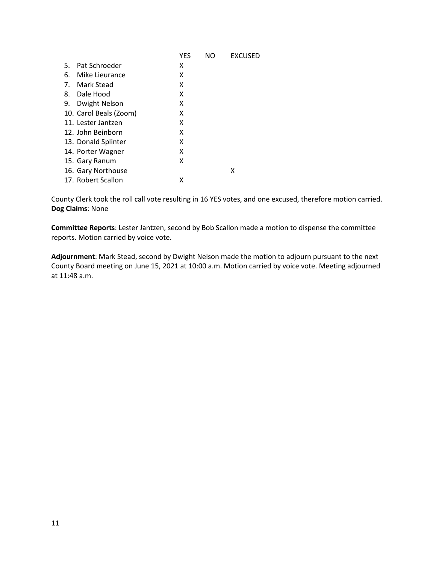|    |                        | <b>YES</b> | N <sub>O</sub> | <b>EXCUSED</b> |
|----|------------------------|------------|----------------|----------------|
| 5. | Pat Schroeder          | х          |                |                |
| 6. | Mike Lieurance         | x          |                |                |
| 7. | Mark Stead             | x          |                |                |
|    | 8. Dale Hood           | x          |                |                |
| 9. | Dwight Nelson          | x          |                |                |
|    | 10. Carol Beals (Zoom) | х          |                |                |
|    | 11. Lester Jantzen     | x          |                |                |
|    | 12. John Beinborn      | х          |                |                |
|    | 13. Donald Splinter    | x          |                |                |
|    | 14. Porter Wagner      | x          |                |                |
|    | 15. Gary Ranum         | x          |                |                |
|    | 16. Gary Northouse     |            |                | х              |
|    | 17. Robert Scallon     | x          |                |                |

County Clerk took the roll call vote resulting in 16 YES votes, and one excused, therefore motion carried. **Dog Claims**: None

**Committee Reports**: Lester Jantzen, second by Bob Scallon made a motion to dispense the committee reports. Motion carried by voice vote.

**Adjournment**: Mark Stead, second by Dwight Nelson made the motion to adjourn pursuant to the next County Board meeting on June 15, 2021 at 10:00 a.m. Motion carried by voice vote. Meeting adjourned at 11:48 a.m.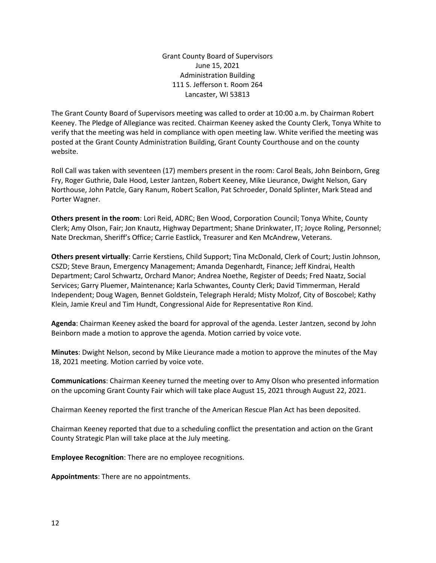Grant County Board of Supervisors June 15, 2021 Administration Building 111 S. Jefferson t. Room 264 Lancaster, WI 53813

The Grant County Board of Supervisors meeting was called to order at 10:00 a.m. by Chairman Robert Keeney. The Pledge of Allegiance was recited. Chairman Keeney asked the County Clerk, Tonya White to verify that the meeting was held in compliance with open meeting law. White verified the meeting was posted at the Grant County Administration Building, Grant County Courthouse and on the county website.

Roll Call was taken with seventeen (17) members present in the room: Carol Beals, John Beinborn, Greg Fry, Roger Guthrie, Dale Hood, Lester Jantzen, Robert Keeney, Mike Lieurance, Dwight Nelson, Gary Northouse, John Patcle, Gary Ranum, Robert Scallon, Pat Schroeder, Donald Splinter, Mark Stead and Porter Wagner.

**Others present in the room**: Lori Reid, ADRC; Ben Wood, Corporation Council; Tonya White, County Clerk; Amy Olson, Fair; Jon Knautz, Highway Department; Shane Drinkwater, IT; Joyce Roling, Personnel; Nate Dreckman, Sheriff's Office; Carrie Eastlick, Treasurer and Ken McAndrew, Veterans.

**Others present virtually**: Carrie Kerstiens, Child Support; Tina McDonald, Clerk of Court; Justin Johnson, CSZD; Steve Braun, Emergency Management; Amanda Degenhardt, Finance; Jeff Kindrai, Health Department; Carol Schwartz, Orchard Manor; Andrea Noethe, Register of Deeds; Fred Naatz, Social Services; Garry Pluemer, Maintenance; Karla Schwantes, County Clerk; David Timmerman, Herald Independent; Doug Wagen, Bennet Goldstein, Telegraph Herald; Misty Molzof, City of Boscobel; Kathy Klein, Jamie Kreul and Tim Hundt, Congressional Aide for Representative Ron Kind.

**Agenda**: Chairman Keeney asked the board for approval of the agenda. Lester Jantzen, second by John Beinborn made a motion to approve the agenda. Motion carried by voice vote.

**Minutes**: Dwight Nelson, second by Mike Lieurance made a motion to approve the minutes of the May 18, 2021 meeting. Motion carried by voice vote.

**Communications**: Chairman Keeney turned the meeting over to Amy Olson who presented information on the upcoming Grant County Fair which will take place August 15, 2021 through August 22, 2021.

Chairman Keeney reported the first tranche of the American Rescue Plan Act has been deposited.

Chairman Keeney reported that due to a scheduling conflict the presentation and action on the Grant County Strategic Plan will take place at the July meeting.

**Employee Recognition**: There are no employee recognitions.

**Appointments**: There are no appointments.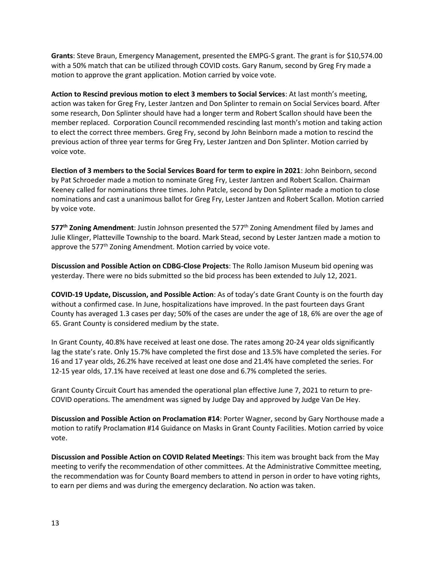**Grants**: Steve Braun, Emergency Management, presented the EMPG-S grant. The grant is for \$10,574.00 with a 50% match that can be utilized through COVID costs. Gary Ranum, second by Greg Fry made a motion to approve the grant application. Motion carried by voice vote.

**Action to Rescind previous motion to elect 3 members to Social Services**: At last month's meeting, action was taken for Greg Fry, Lester Jantzen and Don Splinter to remain on Social Services board. After some research, Don Splinter should have had a longer term and Robert Scallon should have been the member replaced. Corporation Council recommended rescinding last month's motion and taking action to elect the correct three members. Greg Fry, second by John Beinborn made a motion to rescind the previous action of three year terms for Greg Fry, Lester Jantzen and Don Splinter. Motion carried by voice vote.

**Election of 3 members to the Social Services Board for term to expire in 2021**: John Beinborn, second by Pat Schroeder made a motion to nominate Greg Fry, Lester Jantzen and Robert Scallon. Chairman Keeney called for nominations three times. John Patcle, second by Don Splinter made a motion to close nominations and cast a unanimous ballot for Greg Fry, Lester Jantzen and Robert Scallon. Motion carried by voice vote.

577<sup>th</sup> Zoning Amendment: Justin Johnson presented the 577<sup>th</sup> Zoning Amendment filed by James and Julie Klinger, Platteville Township to the board. Mark Stead, second by Lester Jantzen made a motion to approve the 577<sup>th</sup> Zoning Amendment. Motion carried by voice vote.

**Discussion and Possible Action on CDBG-Close Projects**: The Rollo Jamison Museum bid opening was yesterday. There were no bids submitted so the bid process has been extended to July 12, 2021.

**COVID-19 Update, Discussion, and Possible Action**: As of today's date Grant County is on the fourth day without a confirmed case. In June, hospitalizations have improved. In the past fourteen days Grant County has averaged 1.3 cases per day; 50% of the cases are under the age of 18, 6% are over the age of 65. Grant County is considered medium by the state.

In Grant County, 40.8% have received at least one dose. The rates among 20-24 year olds significantly lag the state's rate. Only 15.7% have completed the first dose and 13.5% have completed the series. For 16 and 17 year olds, 26.2% have received at least one dose and 21.4% have completed the series. For 12-15 year olds, 17.1% have received at least one dose and 6.7% completed the series.

Grant County Circuit Court has amended the operational plan effective June 7, 2021 to return to pre-COVID operations. The amendment was signed by Judge Day and approved by Judge Van De Hey.

**Discussion and Possible Action on Proclamation #14**: Porter Wagner, second by Gary Northouse made a motion to ratify Proclamation #14 Guidance on Masks in Grant County Facilities. Motion carried by voice vote.

**Discussion and Possible Action on COVID Related Meetings**: This item was brought back from the May meeting to verify the recommendation of other committees. At the Administrative Committee meeting, the recommendation was for County Board members to attend in person in order to have voting rights, to earn per diems and was during the emergency declaration. No action was taken.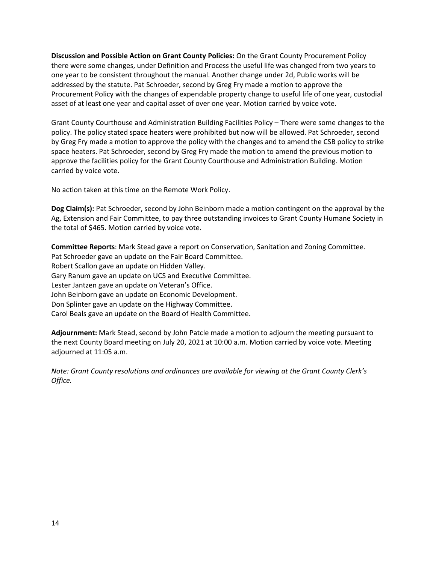**Discussion and Possible Action on Grant County Policies:** On the Grant County Procurement Policy there were some changes, under Definition and Process the useful life was changed from two years to one year to be consistent throughout the manual. Another change under 2d, Public works will be addressed by the statute. Pat Schroeder, second by Greg Fry made a motion to approve the Procurement Policy with the changes of expendable property change to useful life of one year, custodial asset of at least one year and capital asset of over one year. Motion carried by voice vote.

Grant County Courthouse and Administration Building Facilities Policy – There were some changes to the policy. The policy stated space heaters were prohibited but now will be allowed. Pat Schroeder, second by Greg Fry made a motion to approve the policy with the changes and to amend the CSB policy to strike space heaters. Pat Schroeder, second by Greg Fry made the motion to amend the previous motion to approve the facilities policy for the Grant County Courthouse and Administration Building. Motion carried by voice vote.

No action taken at this time on the Remote Work Policy.

**Dog Claim(s):** Pat Schroeder, second by John Beinborn made a motion contingent on the approval by the Ag, Extension and Fair Committee, to pay three outstanding invoices to Grant County Humane Society in the total of \$465. Motion carried by voice vote.

**Committee Reports**: Mark Stead gave a report on Conservation, Sanitation and Zoning Committee. Pat Schroeder gave an update on the Fair Board Committee. Robert Scallon gave an update on Hidden Valley. Gary Ranum gave an update on UCS and Executive Committee. Lester Jantzen gave an update on Veteran's Office. John Beinborn gave an update on Economic Development. Don Splinter gave an update on the Highway Committee. Carol Beals gave an update on the Board of Health Committee.

**Adjournment:** Mark Stead, second by John Patcle made a motion to adjourn the meeting pursuant to the next County Board meeting on July 20, 2021 at 10:00 a.m. Motion carried by voice vote. Meeting adjourned at 11:05 a.m.

*Note: Grant County resolutions and ordinances are available for viewing at the Grant County Clerk's Office.*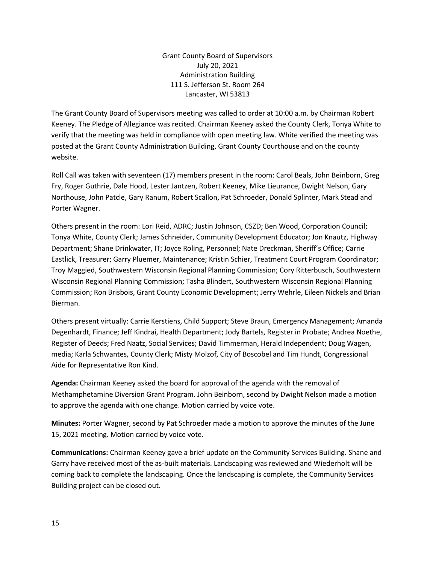Grant County Board of Supervisors July 20, 2021 Administration Building 111 S. Jefferson St. Room 264 Lancaster, WI 53813

The Grant County Board of Supervisors meeting was called to order at 10:00 a.m. by Chairman Robert Keeney. The Pledge of Allegiance was recited. Chairman Keeney asked the County Clerk, Tonya White to verify that the meeting was held in compliance with open meeting law. White verified the meeting was posted at the Grant County Administration Building, Grant County Courthouse and on the county website.

Roll Call was taken with seventeen (17) members present in the room: Carol Beals, John Beinborn, Greg Fry, Roger Guthrie, Dale Hood, Lester Jantzen, Robert Keeney, Mike Lieurance, Dwight Nelson, Gary Northouse, John Patcle, Gary Ranum, Robert Scallon, Pat Schroeder, Donald Splinter, Mark Stead and Porter Wagner.

Others present in the room: Lori Reid, ADRC; Justin Johnson, CSZD; Ben Wood, Corporation Council; Tonya White, County Clerk; James Schneider, Community Development Educator; Jon Knautz, Highway Department; Shane Drinkwater, IT; Joyce Roling, Personnel; Nate Dreckman, Sheriff's Office; Carrie Eastlick, Treasurer; Garry Pluemer, Maintenance; Kristin Schier, Treatment Court Program Coordinator; Troy Maggied, Southwestern Wisconsin Regional Planning Commission; Cory Ritterbusch, Southwestern Wisconsin Regional Planning Commission; Tasha Blindert, Southwestern Wisconsin Regional Planning Commission; Ron Brisbois, Grant County Economic Development; Jerry Wehrle, Eileen Nickels and Brian Bierman.

Others present virtually: Carrie Kerstiens, Child Support; Steve Braun, Emergency Management; Amanda Degenhardt, Finance; Jeff Kindrai, Health Department; Jody Bartels, Register in Probate; Andrea Noethe, Register of Deeds; Fred Naatz, Social Services; David Timmerman, Herald Independent; Doug Wagen, media; Karla Schwantes, County Clerk; Misty Molzof, City of Boscobel and Tim Hundt, Congressional Aide for Representative Ron Kind.

**Agenda:** Chairman Keeney asked the board for approval of the agenda with the removal of Methamphetamine Diversion Grant Program. John Beinborn, second by Dwight Nelson made a motion to approve the agenda with one change. Motion carried by voice vote.

**Minutes:** Porter Wagner, second by Pat Schroeder made a motion to approve the minutes of the June 15, 2021 meeting. Motion carried by voice vote.

**Communications:** Chairman Keeney gave a brief update on the Community Services Building. Shane and Garry have received most of the as-built materials. Landscaping was reviewed and Wiederholt will be coming back to complete the landscaping. Once the landscaping is complete, the Community Services Building project can be closed out.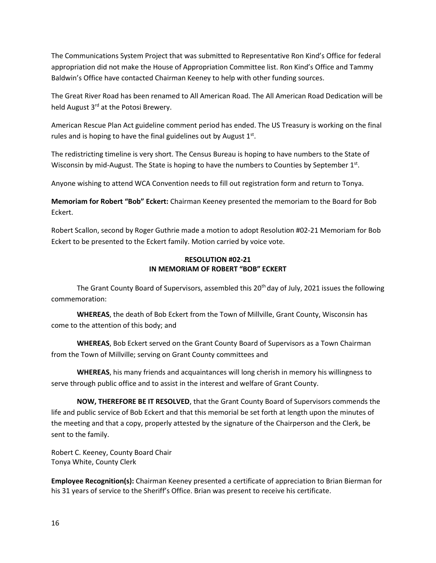The Communications System Project that was submitted to Representative Ron Kind's Office for federal appropriation did not make the House of Appropriation Committee list. Ron Kind's Office and Tammy Baldwin's Office have contacted Chairman Keeney to help with other funding sources.

The Great River Road has been renamed to All American Road. The All American Road Dedication will be held August 3<sup>rd</sup> at the Potosi Brewery.

American Rescue Plan Act guideline comment period has ended. The US Treasury is working on the final rules and is hoping to have the final guidelines out by August  $1<sup>st</sup>$ .

The redistricting timeline is very short. The Census Bureau is hoping to have numbers to the State of Wisconsin by mid-August. The State is hoping to have the numbers to Counties by September 1st.

Anyone wishing to attend WCA Convention needs to fill out registration form and return to Tonya.

**Memoriam for Robert "Bob" Eckert:** Chairman Keeney presented the memoriam to the Board for Bob Eckert.

Robert Scallon, second by Roger Guthrie made a motion to adopt Resolution #02-21 Memoriam for Bob Eckert to be presented to the Eckert family. Motion carried by voice vote.

## **RESOLUTION #02-21 IN MEMORIAM OF ROBERT "BOB" ECKERT**

The Grant County Board of Supervisors, assembled this 20<sup>th</sup> day of July, 2021 issues the following commemoration:

**WHEREAS**, the death of Bob Eckert from the Town of Millville, Grant County, Wisconsin has come to the attention of this body; and

**WHEREAS**, Bob Eckert served on the Grant County Board of Supervisors as a Town Chairman from the Town of Millville; serving on Grant County committees and

**WHEREAS**, his many friends and acquaintances will long cherish in memory his willingness to serve through public office and to assist in the interest and welfare of Grant County.

**NOW, THEREFORE BE IT RESOLVED**, that the Grant County Board of Supervisors commends the life and public service of Bob Eckert and that this memorial be set forth at length upon the minutes of the meeting and that a copy, properly attested by the signature of the Chairperson and the Clerk, be sent to the family.

Robert C. Keeney, County Board Chair Tonya White, County Clerk

**Employee Recognition(s):** Chairman Keeney presented a certificate of appreciation to Brian Bierman for his 31 years of service to the Sheriff's Office. Brian was present to receive his certificate.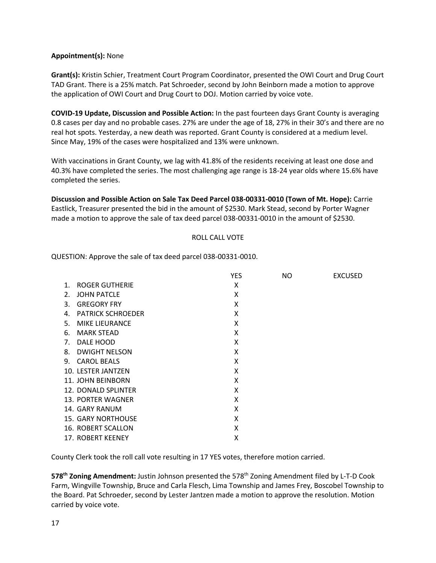## **Appointment(s):** None

**Grant(s):** Kristin Schier, Treatment Court Program Coordinator, presented the OWI Court and Drug Court TAD Grant. There is a 25% match. Pat Schroeder, second by John Beinborn made a motion to approve the application of OWI Court and Drug Court to DOJ. Motion carried by voice vote.

**COVID-19 Update, Discussion and Possible Action:** In the past fourteen days Grant County is averaging 0.8 cases per day and no probable cases. 27% are under the age of 18, 27% in their 30's and there are no real hot spots. Yesterday, a new death was reported. Grant County is considered at a medium level. Since May, 19% of the cases were hospitalized and 13% were unknown.

With vaccinations in Grant County, we lag with 41.8% of the residents receiving at least one dose and 40.3% have completed the series. The most challenging age range is 18-24 year olds where 15.6% have completed the series.

**Discussion and Possible Action on Sale Tax Deed Parcel 038-00331-0010 (Town of Mt. Hope):** Carrie Eastlick, Treasurer presented the bid in the amount of \$2530. Mark Stead, second by Porter Wagner made a motion to approve the sale of tax deed parcel 038-00331-0010 in the amount of \$2530.

### ROLL CALL VOTE

QUESTION: Approve the sale of tax deed parcel 038-00331-0010.

|    |                           | <b>YES</b> | <b>NO</b> | <b>EXCUSED</b> |
|----|---------------------------|------------|-----------|----------------|
| 1. | ROGER GUTHERIE            | x          |           |                |
| 2. | <b>JOHN PATCLE</b>        | X          |           |                |
| 3. | <b>GREGORY FRY</b>        | X          |           |                |
| 4. | <b>PATRICK SCHROEDER</b>  | X          |           |                |
| 5. | <b>MIKE LIEURANCE</b>     | X          |           |                |
| 6. | <b>MARK STEAD</b>         | X          |           |                |
| 7. | DALE HOOD                 | X          |           |                |
| 8. | <b>DWIGHT NELSON</b>      | X          |           |                |
|    | 9. CAROL BEALS            | X          |           |                |
|    | 10. LESTER JANTZEN        | X          |           |                |
|    | 11. JOHN BEINBORN         | X          |           |                |
|    | 12. DONALD SPLINTER       | X          |           |                |
|    | 13. PORTER WAGNER         | X          |           |                |
|    | 14. GARY RANUM            | X          |           |                |
|    | <b>15. GARY NORTHOUSE</b> | X          |           |                |
|    | 16. ROBERT SCALLON        | X          |           |                |
|    | 17. ROBERT KEENEY         | X          |           |                |

County Clerk took the roll call vote resulting in 17 YES votes, therefore motion carried.

**578th Zoning Amendment:** Justin Johnson presented the 578th Zoning Amendment filed by L-T-D Cook Farm, Wingville Township, Bruce and Carla Flesch, Lima Township and James Frey, Boscobel Township to the Board. Pat Schroeder, second by Lester Jantzen made a motion to approve the resolution. Motion carried by voice vote.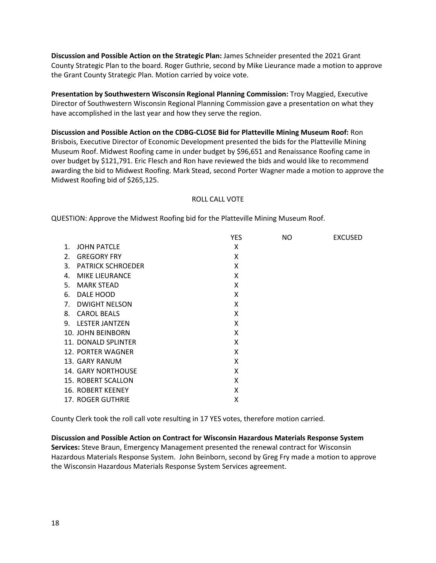**Discussion and Possible Action on the Strategic Plan:** James Schneider presented the 2021 Grant County Strategic Plan to the board. Roger Guthrie, second by Mike Lieurance made a motion to approve the Grant County Strategic Plan. Motion carried by voice vote.

**Presentation by Southwestern Wisconsin Regional Planning Commission:** Troy Maggied, Executive Director of Southwestern Wisconsin Regional Planning Commission gave a presentation on what they have accomplished in the last year and how they serve the region.

**Discussion and Possible Action on the CDBG-CLOSE Bid for Platteville Mining Museum Roof:** Ron Brisbois, Executive Director of Economic Development presented the bids for the Platteville Mining Museum Roof. Midwest Roofing came in under budget by \$96,651 and Renaissance Roofing came in over budget by \$121,791. Eric Flesch and Ron have reviewed the bids and would like to recommend awarding the bid to Midwest Roofing. Mark Stead, second Porter Wagner made a motion to approve the Midwest Roofing bid of \$265,125.

## ROLL CALL VOTE

QUESTION: Approve the Midwest Roofing bid for the Platteville Mining Museum Roof.

|                |                          | <b>YES</b> | NO. | <b>EXCUSED</b> |
|----------------|--------------------------|------------|-----|----------------|
| $\mathbf{1}$ . | <b>JOHN PATCLE</b>       | X          |     |                |
| 2.             | <b>GREGORY FRY</b>       | X          |     |                |
| 3.             | <b>PATRICK SCHROEDER</b> | X          |     |                |
| 4.             | <b>MIKE LIEURANCE</b>    | X          |     |                |
| 5.             | <b>MARK STEAD</b>        | X          |     |                |
| 6.             | DALE HOOD                | X          |     |                |
| 7.             | <b>DWIGHT NELSON</b>     | X          |     |                |
|                | 8. CAROL BEALS           | X          |     |                |
|                | 9. LESTER JANTZEN        | X          |     |                |
|                | 10. JOHN BEINBORN        | X          |     |                |
|                | 11. DONALD SPLINTER      | X          |     |                |
|                | 12. PORTER WAGNER        | X          |     |                |
|                | 13. GARY RANUM           | X          |     |                |
|                | 14. GARY NORTHOUSE       | X          |     |                |
|                | 15. ROBERT SCALLON       | X          |     |                |
|                | 16. ROBERT KEENEY        | X          |     |                |
|                | 17. ROGER GUTHRIE        | X          |     |                |

County Clerk took the roll call vote resulting in 17 YES votes, therefore motion carried.

**Discussion and Possible Action on Contract for Wisconsin Hazardous Materials Response System Services:** Steve Braun, Emergency Management presented the renewal contract for Wisconsin Hazardous Materials Response System. John Beinborn, second by Greg Fry made a motion to approve the Wisconsin Hazardous Materials Response System Services agreement.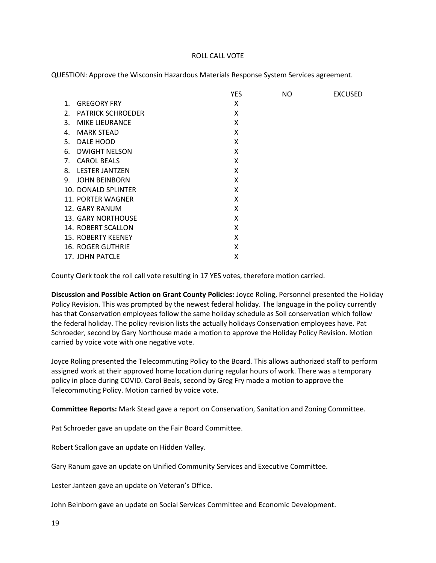#### ROLL CALL VOTE

QUESTION: Approve the Wisconsin Hazardous Materials Response System Services agreement.

|    |                          | <b>YES</b> | <b>NO</b> | <b>EXCUSED</b> |
|----|--------------------------|------------|-----------|----------------|
| 1. | <b>GREGORY FRY</b>       | X          |           |                |
| 2. | <b>PATRICK SCHROEDER</b> | X          |           |                |
| 3. | <b>MIKE LIEURANCE</b>    | X          |           |                |
| 4. | <b>MARK STEAD</b>        | X          |           |                |
| 5. | DALE HOOD                | X          |           |                |
| 6. | <b>DWIGHT NELSON</b>     | X          |           |                |
| 7. | <b>CAROL BEALS</b>       | X          |           |                |
|    | 8. LESTER JANTZEN        | X          |           |                |
| 9. | <b>JOHN BEINBORN</b>     | X          |           |                |
|    | 10. DONALD SPLINTER      | X          |           |                |
|    | 11. PORTER WAGNER        | X          |           |                |
|    | 12. GARY RANUM           | X          |           |                |
|    | 13. GARY NORTHOUSE       | X          |           |                |
|    | 14. ROBERT SCALLON       | X          |           |                |
|    | 15. ROBERTY KEENEY       | X          |           |                |
|    | <b>16. ROGER GUTHRIE</b> | X          |           |                |
|    | 17. JOHN PATCLE          | X          |           |                |

County Clerk took the roll call vote resulting in 17 YES votes, therefore motion carried.

**Discussion and Possible Action on Grant County Policies:** Joyce Roling, Personnel presented the Holiday Policy Revision. This was prompted by the newest federal holiday. The language in the policy currently has that Conservation employees follow the same holiday schedule as Soil conservation which follow the federal holiday. The policy revision lists the actually holidays Conservation employees have. Pat Schroeder, second by Gary Northouse made a motion to approve the Holiday Policy Revision. Motion carried by voice vote with one negative vote.

Joyce Roling presented the Telecommuting Policy to the Board. This allows authorized staff to perform assigned work at their approved home location during regular hours of work. There was a temporary policy in place during COVID. Carol Beals, second by Greg Fry made a motion to approve the Telecommuting Policy. Motion carried by voice vote.

**Committee Reports:** Mark Stead gave a report on Conservation, Sanitation and Zoning Committee.

Pat Schroeder gave an update on the Fair Board Committee.

Robert Scallon gave an update on Hidden Valley.

Gary Ranum gave an update on Unified Community Services and Executive Committee.

Lester Jantzen gave an update on Veteran's Office.

John Beinborn gave an update on Social Services Committee and Economic Development.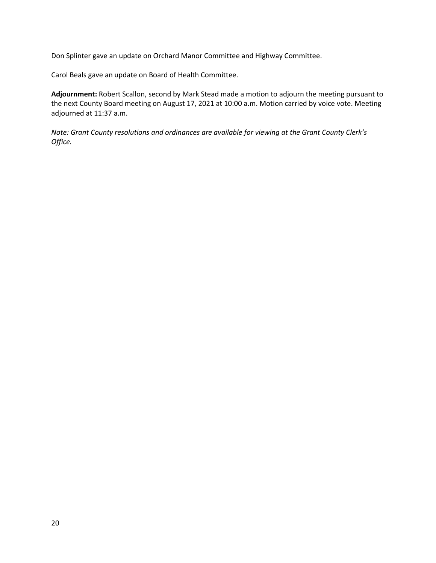Don Splinter gave an update on Orchard Manor Committee and Highway Committee.

Carol Beals gave an update on Board of Health Committee.

**Adjournment:** Robert Scallon, second by Mark Stead made a motion to adjourn the meeting pursuant to the next County Board meeting on August 17, 2021 at 10:00 a.m. Motion carried by voice vote. Meeting adjourned at 11:37 a.m.

*Note: Grant County resolutions and ordinances are available for viewing at the Grant County Clerk's Office.*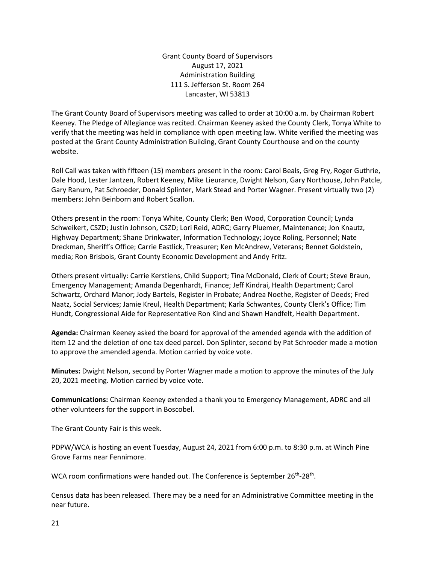Grant County Board of Supervisors August 17, 2021 Administration Building 111 S. Jefferson St. Room 264 Lancaster, WI 53813

The Grant County Board of Supervisors meeting was called to order at 10:00 a.m. by Chairman Robert Keeney. The Pledge of Allegiance was recited. Chairman Keeney asked the County Clerk, Tonya White to verify that the meeting was held in compliance with open meeting law. White verified the meeting was posted at the Grant County Administration Building, Grant County Courthouse and on the county website.

Roll Call was taken with fifteen (15) members present in the room: Carol Beals, Greg Fry, Roger Guthrie, Dale Hood, Lester Jantzen, Robert Keeney, Mike Lieurance, Dwight Nelson, Gary Northouse, John Patcle, Gary Ranum, Pat Schroeder, Donald Splinter, Mark Stead and Porter Wagner. Present virtually two (2) members: John Beinborn and Robert Scallon.

Others present in the room: Tonya White, County Clerk; Ben Wood, Corporation Council; Lynda Schweikert, CSZD; Justin Johnson, CSZD; Lori Reid, ADRC; Garry Pluemer, Maintenance; Jon Knautz, Highway Department; Shane Drinkwater, Information Technology; Joyce Roling, Personnel; Nate Dreckman, Sheriff's Office; Carrie Eastlick, Treasurer; Ken McAndrew, Veterans; Bennet Goldstein, media; Ron Brisbois, Grant County Economic Development and Andy Fritz.

Others present virtually: Carrie Kerstiens, Child Support; Tina McDonald, Clerk of Court; Steve Braun, Emergency Management; Amanda Degenhardt, Finance; Jeff Kindrai, Health Department; Carol Schwartz, Orchard Manor; Jody Bartels, Register in Probate; Andrea Noethe, Register of Deeds; Fred Naatz, Social Services; Jamie Kreul, Health Department; Karla Schwantes, County Clerk's Office; Tim Hundt, Congressional Aide for Representative Ron Kind and Shawn Handfelt, Health Department.

**Agenda:** Chairman Keeney asked the board for approval of the amended agenda with the addition of item 12 and the deletion of one tax deed parcel. Don Splinter, second by Pat Schroeder made a motion to approve the amended agenda. Motion carried by voice vote.

**Minutes:** Dwight Nelson, second by Porter Wagner made a motion to approve the minutes of the July 20, 2021 meeting. Motion carried by voice vote.

**Communications:** Chairman Keeney extended a thank you to Emergency Management, ADRC and all other volunteers for the support in Boscobel.

The Grant County Fair is this week.

PDPW/WCA is hosting an event Tuesday, August 24, 2021 from 6:00 p.m. to 8:30 p.m. at Winch Pine Grove Farms near Fennimore.

WCA room confirmations were handed out. The Conference is September 26<sup>th</sup>-28<sup>th</sup>.

Census data has been released. There may be a need for an Administrative Committee meeting in the near future.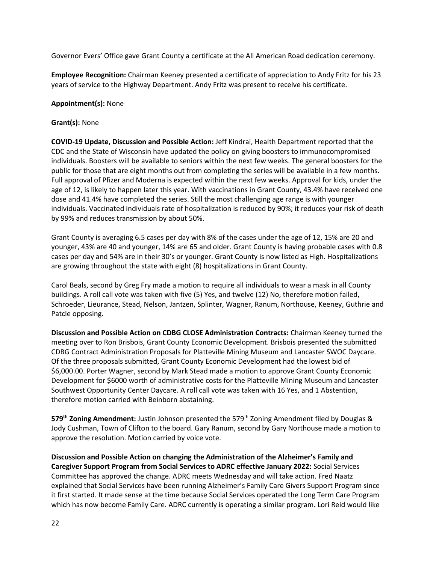Governor Evers' Office gave Grant County a certificate at the All American Road dedication ceremony.

**Employee Recognition:** Chairman Keeney presented a certificate of appreciation to Andy Fritz for his 23 years of service to the Highway Department. Andy Fritz was present to receive his certificate.

## **Appointment(s):** None

## **Grant(s):** None

**COVID-19 Update, Discussion and Possible Action:** Jeff Kindrai, Health Department reported that the CDC and the State of Wisconsin have updated the policy on giving boosters to immunocompromised individuals. Boosters will be available to seniors within the next few weeks. The general boosters for the public for those that are eight months out from completing the series will be available in a few months. Full approval of Pfizer and Moderna is expected within the next few weeks. Approval for kids, under the age of 12, is likely to happen later this year. With vaccinations in Grant County, 43.4% have received one dose and 41.4% have completed the series. Still the most challenging age range is with younger individuals. Vaccinated individuals rate of hospitalization is reduced by 90%; it reduces your risk of death by 99% and reduces transmission by about 50%.

Grant County is averaging 6.5 cases per day with 8% of the cases under the age of 12, 15% are 20 and younger, 43% are 40 and younger, 14% are 65 and older. Grant County is having probable cases with 0.8 cases per day and 54% are in their 30's or younger. Grant County is now listed as High. Hospitalizations are growing throughout the state with eight (8) hospitalizations in Grant County.

Carol Beals, second by Greg Fry made a motion to require all individuals to wear a mask in all County buildings. A roll call vote was taken with five (5) Yes, and twelve (12) No, therefore motion failed, Schroeder, Lieurance, Stead, Nelson, Jantzen, Splinter, Wagner, Ranum, Northouse, Keeney, Guthrie and Patcle opposing.

**Discussion and Possible Action on CDBG CLOSE Administration Contracts:** Chairman Keeney turned the meeting over to Ron Brisbois, Grant County Economic Development. Brisbois presented the submitted CDBG Contract Administration Proposals for Platteville Mining Museum and Lancaster SWOC Daycare. Of the three proposals submitted, Grant County Economic Development had the lowest bid of \$6,000.00. Porter Wagner, second by Mark Stead made a motion to approve Grant County Economic Development for \$6000 worth of administrative costs for the Platteville Mining Museum and Lancaster Southwest Opportunity Center Daycare. A roll call vote was taken with 16 Yes, and 1 Abstention, therefore motion carried with Beinborn abstaining.

**579th Zoning Amendment:** Justin Johnson presented the 579th Zoning Amendment filed by Douglas & Jody Cushman, Town of Clifton to the board. Gary Ranum, second by Gary Northouse made a motion to approve the resolution. Motion carried by voice vote.

**Discussion and Possible Action on changing the Administration of the Alzheimer's Family and Caregiver Support Program from Social Services to ADRC effective January 2022:** Social Services Committee has approved the change. ADRC meets Wednesday and will take action. Fred Naatz explained that Social Services have been running Alzheimer's Family Care Givers Support Program since it first started. It made sense at the time because Social Services operated the Long Term Care Program which has now become Family Care. ADRC currently is operating a similar program. Lori Reid would like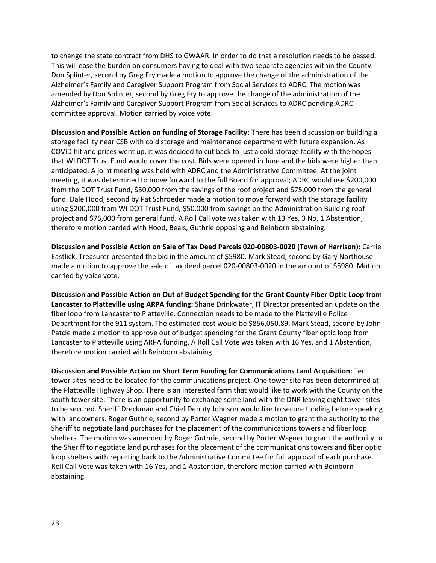to change the state contract from DHS to GWAAR. In order to do that a resolution needs to be passed. This will ease the burden on consumers having to deal with two separate agencies within the County. Don Splinter, second by Greg Fry made a motion to approve the change of the administration of the Alzheimer's Family and Caregiver Support Program from Social Services to ADRC. The motion was amended by Don Splinter, second by Greg Fry to approve the change of the administration of the Alzheimer's Family and Caregiver Support Program from Social Services to ADRC pending ADRC committee approval. Motion carried by voice vote.

**Discussion and Possible Action on funding of Storage Facility:** There has been discussion on building a storage facility near CSB with cold storage and maintenance department with future expansion. As COVID hit and prices went up, it was decided to cut back to just a cold storage facility with the hopes that WI DOT Trust Fund would cover the cost. Bids were opened in June and the bids were higher than anticipated. A joint meeting was held with ADRC and the Administrative Committee. At the joint meeting, it was determined to move forward to the full Board for approval; ADRC would use \$200,000 from the DOT Trust Fund, \$50,000 from the savings of the roof project and \$75,000 from the general fund. Dale Hood, second by Pat Schroeder made a motion to move forward with the storage facility using \$200,000 from WI DOT Trust Fund, \$50,000 from savings on the Administration Building roof project and \$75,000 from general fund. A Roll Call vote was taken with 13 Yes, 3 No, 1 Abstention, therefore motion carried with Hood, Beals, Guthrie opposing and Beinborn abstaining.

**Discussion and Possible Action on Sale of Tax Deed Parcels 020-00803-0020 (Town of Harrison):** Carrie Eastlick, Treasurer presented the bid in the amount of \$5980. Mark Stead, second by Gary Northouse made a motion to approve the sale of tax deed parcel 020-00803-0020 in the amount of \$5980. Motion carried by voice vote.

**Discussion and Possible Action on Out of Budget Spending for the Grant County Fiber Optic Loop from Lancaster to Platteville using ARPA funding:** Shane Drinkwater, IT Director presented an update on the fiber loop from Lancaster to Platteville. Connection needs to be made to the Platteville Police Department for the 911 system. The estimated cost would be \$856,050.89. Mark Stead, second by John Patcle made a motion to approve out of budget spending for the Grant County fiber optic loop from Lancaster to Platteville using ARPA funding. A Roll Call Vote was taken with 16 Yes, and 1 Abstention, therefore motion carried with Beinborn abstaining.

**Discussion and Possible Action on Short Term Funding for Communications Land Acquisition:** Ten tower sites need to be located for the communications project. One tower site has been determined at the Platteville Highway Shop. There is an interested farm that would like to work with the County on the south tower site. There is an opportunity to exchange some land with the DNR leaving eight tower sites to be secured. Sheriff Dreckman and Chief Deputy Johnson would like to secure funding before speaking with landowners. Roger Guthrie, second by Porter Wagner made a motion to grant the authority to the Sheriff to negotiate land purchases for the placement of the communications towers and fiber loop shelters. The motion was amended by Roger Guthrie, second by Porter Wagner to grant the authority to the Sheriff to negotiate land purchases for the placement of the communications towers and fiber optic loop shelters with reporting back to the Administrative Committee for full approval of each purchase. Roll Call Vote was taken with 16 Yes, and 1 Abstention, therefore motion carried with Beinborn abstaining.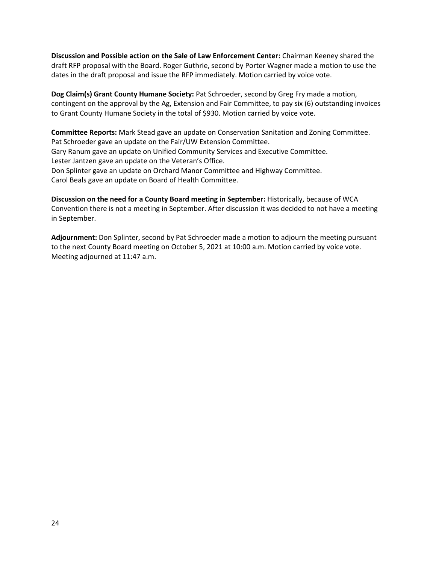**Discussion and Possible action on the Sale of Law Enforcement Center:** Chairman Keeney shared the draft RFP proposal with the Board. Roger Guthrie, second by Porter Wagner made a motion to use the dates in the draft proposal and issue the RFP immediately. Motion carried by voice vote.

**Dog Claim(s) Grant County Humane Society:** Pat Schroeder, second by Greg Fry made a motion, contingent on the approval by the Ag, Extension and Fair Committee, to pay six (6) outstanding invoices to Grant County Humane Society in the total of \$930. Motion carried by voice vote.

**Committee Reports:** Mark Stead gave an update on Conservation Sanitation and Zoning Committee. Pat Schroeder gave an update on the Fair/UW Extension Committee. Gary Ranum gave an update on Unified Community Services and Executive Committee. Lester Jantzen gave an update on the Veteran's Office. Don Splinter gave an update on Orchard Manor Committee and Highway Committee. Carol Beals gave an update on Board of Health Committee.

**Discussion on the need for a County Board meeting in September:** Historically, because of WCA Convention there is not a meeting in September. After discussion it was decided to not have a meeting in September.

**Adjournment:** Don Splinter, second by Pat Schroeder made a motion to adjourn the meeting pursuant to the next County Board meeting on October 5, 2021 at 10:00 a.m. Motion carried by voice vote. Meeting adjourned at 11:47 a.m.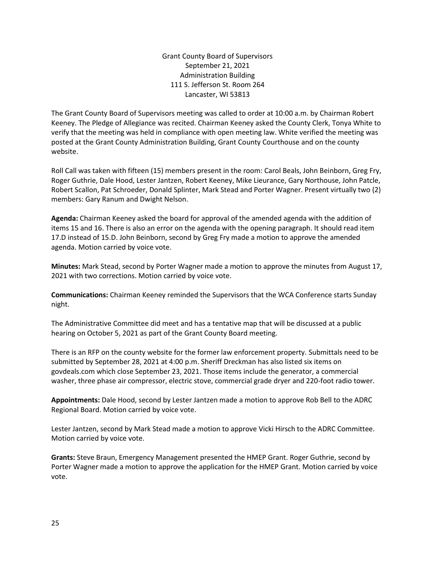Grant County Board of Supervisors September 21, 2021 Administration Building 111 S. Jefferson St. Room 264 Lancaster, WI 53813

The Grant County Board of Supervisors meeting was called to order at 10:00 a.m. by Chairman Robert Keeney. The Pledge of Allegiance was recited. Chairman Keeney asked the County Clerk, Tonya White to verify that the meeting was held in compliance with open meeting law. White verified the meeting was posted at the Grant County Administration Building, Grant County Courthouse and on the county website.

Roll Call was taken with fifteen (15) members present in the room: Carol Beals, John Beinborn, Greg Fry, Roger Guthrie, Dale Hood, Lester Jantzen, Robert Keeney, Mike Lieurance, Gary Northouse, John Patcle, Robert Scallon, Pat Schroeder, Donald Splinter, Mark Stead and Porter Wagner. Present virtually two (2) members: Gary Ranum and Dwight Nelson.

**Agenda:** Chairman Keeney asked the board for approval of the amended agenda with the addition of items 15 and 16. There is also an error on the agenda with the opening paragraph. It should read item 17.D instead of 15.D. John Beinborn, second by Greg Fry made a motion to approve the amended agenda. Motion carried by voice vote.

**Minutes:** Mark Stead, second by Porter Wagner made a motion to approve the minutes from August 17, 2021 with two corrections. Motion carried by voice vote.

**Communications:** Chairman Keeney reminded the Supervisors that the WCA Conference starts Sunday night.

The Administrative Committee did meet and has a tentative map that will be discussed at a public hearing on October 5, 2021 as part of the Grant County Board meeting.

There is an RFP on the county website for the former law enforcement property. Submittals need to be submitted by September 28, 2021 at 4:00 p.m. Sheriff Dreckman has also listed six items on govdeals.com which close September 23, 2021. Those items include the generator, a commercial washer, three phase air compressor, electric stove, commercial grade dryer and 220-foot radio tower.

**Appointments:** Dale Hood, second by Lester Jantzen made a motion to approve Rob Bell to the ADRC Regional Board. Motion carried by voice vote.

Lester Jantzen, second by Mark Stead made a motion to approve Vicki Hirsch to the ADRC Committee. Motion carried by voice vote.

**Grants:** Steve Braun, Emergency Management presented the HMEP Grant. Roger Guthrie, second by Porter Wagner made a motion to approve the application for the HMEP Grant. Motion carried by voice vote.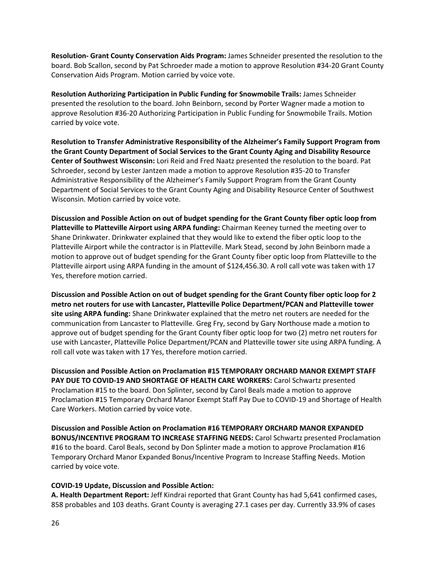**Resolution- Grant County Conservation Aids Program:** James Schneider presented the resolution to the board. Bob Scallon, second by Pat Schroeder made a motion to approve Resolution #34-20 Grant County Conservation Aids Program. Motion carried by voice vote.

**Resolution Authorizing Participation in Public Funding for Snowmobile Trails:** James Schneider presented the resolution to the board. John Beinborn, second by Porter Wagner made a motion to approve Resolution #36-20 Authorizing Participation in Public Funding for Snowmobile Trails. Motion carried by voice vote.

**Resolution to Transfer Administrative Responsibility of the Alzheimer's Family Support Program from the Grant County Department of Social Services to the Grant County Aging and Disability Resource Center of Southwest Wisconsin:** Lori Reid and Fred Naatz presented the resolution to the board. Pat Schroeder, second by Lester Jantzen made a motion to approve Resolution #35-20 to Transfer Administrative Responsibility of the Alzheimer's Family Support Program from the Grant County Department of Social Services to the Grant County Aging and Disability Resource Center of Southwest Wisconsin. Motion carried by voice vote.

**Discussion and Possible Action on out of budget spending for the Grant County fiber optic loop from Platteville to Platteville Airport using ARPA funding:** Chairman Keeney turned the meeting over to Shane Drinkwater. Drinkwater explained that they would like to extend the fiber optic loop to the Platteville Airport while the contractor is in Platteville. Mark Stead, second by John Beinborn made a motion to approve out of budget spending for the Grant County fiber optic loop from Platteville to the Platteville airport using ARPA funding in the amount of \$124,456.30. A roll call vote was taken with 17 Yes, therefore motion carried.

**Discussion and Possible Action on out of budget spending for the Grant County fiber optic loop for 2 metro net routers for use with Lancaster, Platteville Police Department/PCAN and Platteville tower site using ARPA funding:** Shane Drinkwater explained that the metro net routers are needed for the communication from Lancaster to Platteville. Greg Fry, second by Gary Northouse made a motion to approve out of budget spending for the Grant County fiber optic loop for two (2) metro net routers for use with Lancaster, Platteville Police Department/PCAN and Platteville tower site using ARPA funding. A roll call vote was taken with 17 Yes, therefore motion carried.

**Discussion and Possible Action on Proclamation #15 TEMPORARY ORCHARD MANOR EXEMPT STAFF PAY DUE TO COVID-19 AND SHORTAGE OF HEALTH CARE WORKERS:** Carol Schwartz presented Proclamation #15 to the board. Don Splinter, second by Carol Beals made a motion to approve Proclamation #15 Temporary Orchard Manor Exempt Staff Pay Due to COVID-19 and Shortage of Health Care Workers. Motion carried by voice vote.

**Discussion and Possible Action on Proclamation #16 TEMPORARY ORCHARD MANOR EXPANDED BONUS/INCENTIVE PROGRAM TO INCREASE STAFFING NEEDS:** Carol Schwartz presented Proclamation #16 to the board. Carol Beals, second by Don Splinter made a motion to approve Proclamation #16 Temporary Orchard Manor Expanded Bonus/Incentive Program to Increase Staffing Needs. Motion carried by voice vote.

## **COVID-19 Update, Discussion and Possible Action:**

**A. Health Department Report:** Jeff Kindrai reported that Grant County has had 5,641 confirmed cases, 858 probables and 103 deaths. Grant County is averaging 27.1 cases per day. Currently 33.9% of cases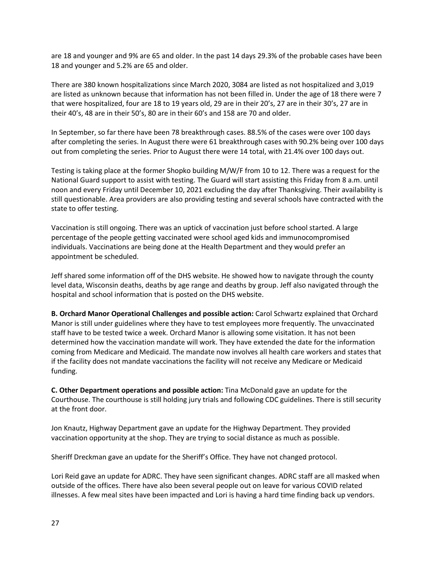are 18 and younger and 9% are 65 and older. In the past 14 days 29.3% of the probable cases have been 18 and younger and 5.2% are 65 and older.

There are 380 known hospitalizations since March 2020, 3084 are listed as not hospitalized and 3,019 are listed as unknown because that information has not been filled in. Under the age of 18 there were 7 that were hospitalized, four are 18 to 19 years old, 29 are in their 20's, 27 are in their 30's, 27 are in their 40's, 48 are in their 50's, 80 are in their 60's and 158 are 70 and older.

In September, so far there have been 78 breakthrough cases. 88.5% of the cases were over 100 days after completing the series. In August there were 61 breakthrough cases with 90.2% being over 100 days out from completing the series. Prior to August there were 14 total, with 21.4% over 100 days out.

Testing is taking place at the former Shopko building M/W/F from 10 to 12. There was a request for the National Guard support to assist with testing. The Guard will start assisting this Friday from 8 a.m. until noon and every Friday until December 10, 2021 excluding the day after Thanksgiving. Their availability is still questionable. Area providers are also providing testing and several schools have contracted with the state to offer testing.

Vaccination is still ongoing. There was an uptick of vaccination just before school started. A large percentage of the people getting vaccinated were school aged kids and immunocompromised individuals. Vaccinations are being done at the Health Department and they would prefer an appointment be scheduled.

Jeff shared some information off of the DHS website. He showed how to navigate through the county level data, Wisconsin deaths, deaths by age range and deaths by group. Jeff also navigated through the hospital and school information that is posted on the DHS website.

**B. Orchard Manor Operational Challenges and possible action:** Carol Schwartz explained that Orchard Manor is still under guidelines where they have to test employees more frequently. The unvaccinated staff have to be tested twice a week. Orchard Manor is allowing some visitation. It has not been determined how the vaccination mandate will work. They have extended the date for the information coming from Medicare and Medicaid. The mandate now involves all health care workers and states that if the facility does not mandate vaccinations the facility will not receive any Medicare or Medicaid funding.

**C. Other Department operations and possible action:** Tina McDonald gave an update for the Courthouse. The courthouse is still holding jury trials and following CDC guidelines. There is still security at the front door.

Jon Knautz, Highway Department gave an update for the Highway Department. They provided vaccination opportunity at the shop. They are trying to social distance as much as possible.

Sheriff Dreckman gave an update for the Sheriff's Office. They have not changed protocol.

Lori Reid gave an update for ADRC. They have seen significant changes. ADRC staff are all masked when outside of the offices. There have also been several people out on leave for various COVID related illnesses. A few meal sites have been impacted and Lori is having a hard time finding back up vendors.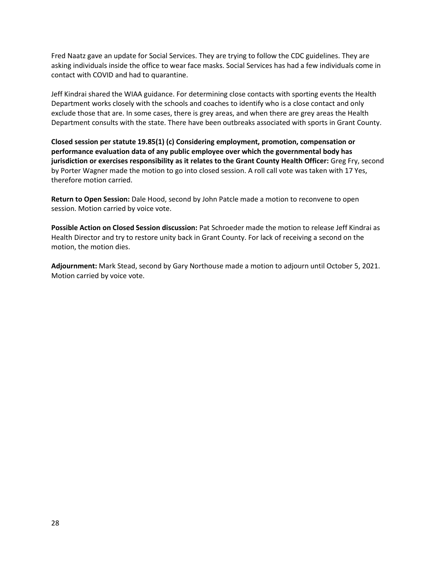Fred Naatz gave an update for Social Services. They are trying to follow the CDC guidelines. They are asking individuals inside the office to wear face masks. Social Services has had a few individuals come in contact with COVID and had to quarantine.

Jeff Kindrai shared the WIAA guidance. For determining close contacts with sporting events the Health Department works closely with the schools and coaches to identify who is a close contact and only exclude those that are. In some cases, there is grey areas, and when there are grey areas the Health Department consults with the state. There have been outbreaks associated with sports in Grant County.

**Closed session per statute 19.85(1) (c) Considering employment, promotion, compensation or performance evaluation data of any public employee over which the governmental body has jurisdiction or exercises responsibility as it relates to the Grant County Health Officer:** Greg Fry, second by Porter Wagner made the motion to go into closed session. A roll call vote was taken with 17 Yes, therefore motion carried.

**Return to Open Session:** Dale Hood, second by John Patcle made a motion to reconvene to open session. Motion carried by voice vote.

**Possible Action on Closed Session discussion:** Pat Schroeder made the motion to release Jeff Kindrai as Health Director and try to restore unity back in Grant County. For lack of receiving a second on the motion, the motion dies.

**Adjournment:** Mark Stead, second by Gary Northouse made a motion to adjourn until October 5, 2021. Motion carried by voice vote.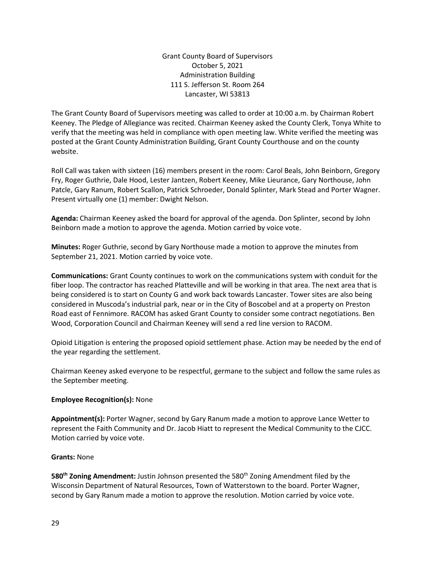Grant County Board of Supervisors October 5, 2021 Administration Building 111 S. Jefferson St. Room 264 Lancaster, WI 53813

The Grant County Board of Supervisors meeting was called to order at 10:00 a.m. by Chairman Robert Keeney. The Pledge of Allegiance was recited. Chairman Keeney asked the County Clerk, Tonya White to verify that the meeting was held in compliance with open meeting law. White verified the meeting was posted at the Grant County Administration Building, Grant County Courthouse and on the county website.

Roll Call was taken with sixteen (16) members present in the room: Carol Beals, John Beinborn, Gregory Fry, Roger Guthrie, Dale Hood, Lester Jantzen, Robert Keeney, Mike Lieurance, Gary Northouse, John Patcle, Gary Ranum, Robert Scallon, Patrick Schroeder, Donald Splinter, Mark Stead and Porter Wagner. Present virtually one (1) member: Dwight Nelson.

**Agenda:** Chairman Keeney asked the board for approval of the agenda. Don Splinter, second by John Beinborn made a motion to approve the agenda. Motion carried by voice vote.

**Minutes:** Roger Guthrie, second by Gary Northouse made a motion to approve the minutes from September 21, 2021. Motion carried by voice vote.

**Communications:** Grant County continues to work on the communications system with conduit for the fiber loop. The contractor has reached Platteville and will be working in that area. The next area that is being considered is to start on County G and work back towards Lancaster. Tower sites are also being considered in Muscoda's industrial park, near or in the City of Boscobel and at a property on Preston Road east of Fennimore. RACOM has asked Grant County to consider some contract negotiations. Ben Wood, Corporation Council and Chairman Keeney will send a red line version to RACOM.

Opioid Litigation is entering the proposed opioid settlement phase. Action may be needed by the end of the year regarding the settlement.

Chairman Keeney asked everyone to be respectful, germane to the subject and follow the same rules as the September meeting.

#### **Employee Recognition(s):** None

**Appointment(s):** Porter Wagner, second by Gary Ranum made a motion to approve Lance Wetter to represent the Faith Community and Dr. Jacob Hiatt to represent the Medical Community to the CJCC. Motion carried by voice vote.

## **Grants:** None

**580<sup>th</sup> Zoning Amendment:** Justin Johnson presented the 580<sup>th</sup> Zoning Amendment filed by the Wisconsin Department of Natural Resources, Town of Watterstown to the board. Porter Wagner, second by Gary Ranum made a motion to approve the resolution. Motion carried by voice vote.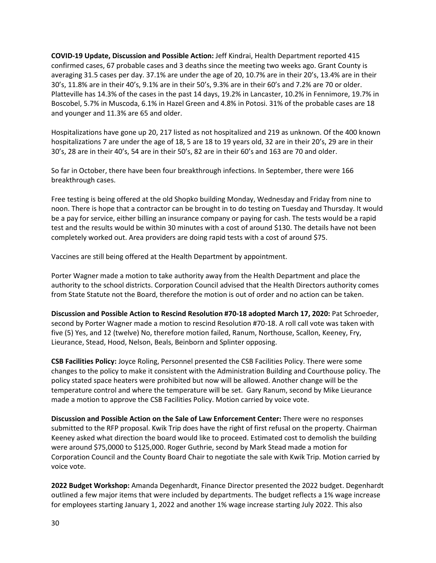**COVID-19 Update, Discussion and Possible Action:** Jeff Kindrai, Health Department reported 415 confirmed cases, 67 probable cases and 3 deaths since the meeting two weeks ago. Grant County is averaging 31.5 cases per day. 37.1% are under the age of 20, 10.7% are in their 20's, 13.4% are in their 30's, 11.8% are in their 40's, 9.1% are in their 50's, 9.3% are in their 60's and 7.2% are 70 or older. Platteville has 14.3% of the cases in the past 14 days, 19.2% in Lancaster, 10.2% in Fennimore, 19.7% in Boscobel, 5.7% in Muscoda, 6.1% in Hazel Green and 4.8% in Potosi. 31% of the probable cases are 18 and younger and 11.3% are 65 and older.

Hospitalizations have gone up 20, 217 listed as not hospitalized and 219 as unknown. Of the 400 known hospitalizations 7 are under the age of 18, 5 are 18 to 19 years old, 32 are in their 20's, 29 are in their 30's, 28 are in their 40's, 54 are in their 50's, 82 are in their 60's and 163 are 70 and older.

So far in October, there have been four breakthrough infections. In September, there were 166 breakthrough cases.

Free testing is being offered at the old Shopko building Monday, Wednesday and Friday from nine to noon. There is hope that a contractor can be brought in to do testing on Tuesday and Thursday. It would be a pay for service, either billing an insurance company or paying for cash. The tests would be a rapid test and the results would be within 30 minutes with a cost of around \$130. The details have not been completely worked out. Area providers are doing rapid tests with a cost of around \$75.

Vaccines are still being offered at the Health Department by appointment.

Porter Wagner made a motion to take authority away from the Health Department and place the authority to the school districts. Corporation Council advised that the Health Directors authority comes from State Statute not the Board, therefore the motion is out of order and no action can be taken.

**Discussion and Possible Action to Rescind Resolution #70-18 adopted March 17, 2020:** Pat Schroeder, second by Porter Wagner made a motion to rescind Resolution #70-18. A roll call vote was taken with five (5) Yes, and 12 (twelve) No, therefore motion failed, Ranum, Northouse, Scallon, Keeney, Fry, Lieurance, Stead, Hood, Nelson, Beals, Beinborn and Splinter opposing.

**CSB Facilities Policy:** Joyce Roling, Personnel presented the CSB Facilities Policy. There were some changes to the policy to make it consistent with the Administration Building and Courthouse policy. The policy stated space heaters were prohibited but now will be allowed. Another change will be the temperature control and where the temperature will be set. Gary Ranum, second by Mike Lieurance made a motion to approve the CSB Facilities Policy. Motion carried by voice vote.

**Discussion and Possible Action on the Sale of Law Enforcement Center:** There were no responses submitted to the RFP proposal. Kwik Trip does have the right of first refusal on the property. Chairman Keeney asked what direction the board would like to proceed. Estimated cost to demolish the building were around \$75,0000 to \$125,000. Roger Guthrie, second by Mark Stead made a motion for Corporation Council and the County Board Chair to negotiate the sale with Kwik Trip. Motion carried by voice vote.

**2022 Budget Workshop:** Amanda Degenhardt, Finance Director presented the 2022 budget. Degenhardt outlined a few major items that were included by departments. The budget reflects a 1% wage increase for employees starting January 1, 2022 and another 1% wage increase starting July 2022. This also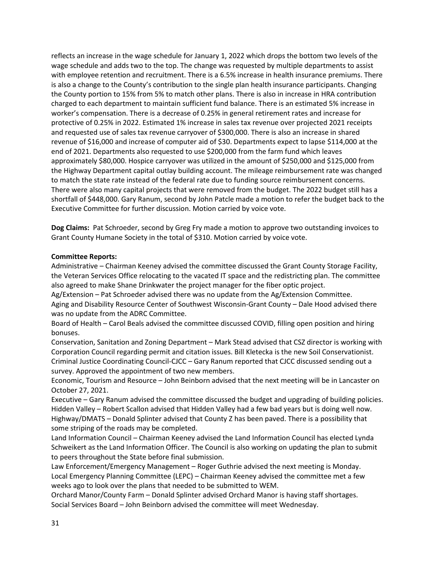reflects an increase in the wage schedule for January 1, 2022 which drops the bottom two levels of the wage schedule and adds two to the top. The change was requested by multiple departments to assist with employee retention and recruitment. There is a 6.5% increase in health insurance premiums. There is also a change to the County's contribution to the single plan health insurance participants. Changing the County portion to 15% from 5% to match other plans. There is also in increase in HRA contribution charged to each department to maintain sufficient fund balance. There is an estimated 5% increase in worker's compensation. There is a decrease of 0.25% in general retirement rates and increase for protective of 0.25% in 2022. Estimated 1% increase in sales tax revenue over projected 2021 receipts and requested use of sales tax revenue carryover of \$300,000. There is also an increase in shared revenue of \$16,000 and increase of computer aid of \$30. Departments expect to lapse \$114,000 at the end of 2021. Departments also requested to use \$200,000 from the farm fund which leaves approximately \$80,000. Hospice carryover was utilized in the amount of \$250,000 and \$125,000 from the Highway Department capital outlay building account. The mileage reimbursement rate was changed to match the state rate instead of the federal rate due to funding source reimbursement concerns. There were also many capital projects that were removed from the budget. The 2022 budget still has a shortfall of \$448,000. Gary Ranum, second by John Patcle made a motion to refer the budget back to the Executive Committee for further discussion. Motion carried by voice vote.

**Dog Claims:** Pat Schroeder, second by Greg Fry made a motion to approve two outstanding invoices to Grant County Humane Society in the total of \$310. Motion carried by voice vote.

## **Committee Reports:**

Administrative – Chairman Keeney advised the committee discussed the Grant County Storage Facility, the Veteran Services Office relocating to the vacated IT space and the redistricting plan. The committee also agreed to make Shane Drinkwater the project manager for the fiber optic project.

Ag/Extension – Pat Schroeder advised there was no update from the Ag/Extension Committee. Aging and Disability Resource Center of Southwest Wisconsin-Grant County – Dale Hood advised there was no update from the ADRC Committee.

Board of Health – Carol Beals advised the committee discussed COVID, filling open position and hiring bonuses.

Conservation, Sanitation and Zoning Department – Mark Stead advised that CSZ director is working with Corporation Council regarding permit and citation issues. Bill Kletecka is the new Soil Conservationist. Criminal Justice Coordinating Council-CJCC – Gary Ranum reported that CJCC discussed sending out a survey. Approved the appointment of two new members.

Economic, Tourism and Resource – John Beinborn advised that the next meeting will be in Lancaster on October 27, 2021.

Executive – Gary Ranum advised the committee discussed the budget and upgrading of building policies. Hidden Valley – Robert Scallon advised that Hidden Valley had a few bad years but is doing well now. Highway/DMATS – Donald Splinter advised that County Z has been paved. There is a possibility that some striping of the roads may be completed.

Land Information Council – Chairman Keeney advised the Land Information Council has elected Lynda Schweikert as the Land Information Officer. The Council is also working on updating the plan to submit to peers throughout the State before final submission.

Law Enforcement/Emergency Management – Roger Guthrie advised the next meeting is Monday. Local Emergency Planning Committee (LEPC) – Chairman Keeney advised the committee met a few weeks ago to look over the plans that needed to be submitted to WEM.

Orchard Manor/County Farm – Donald Splinter advised Orchard Manor is having staff shortages. Social Services Board – John Beinborn advised the committee will meet Wednesday.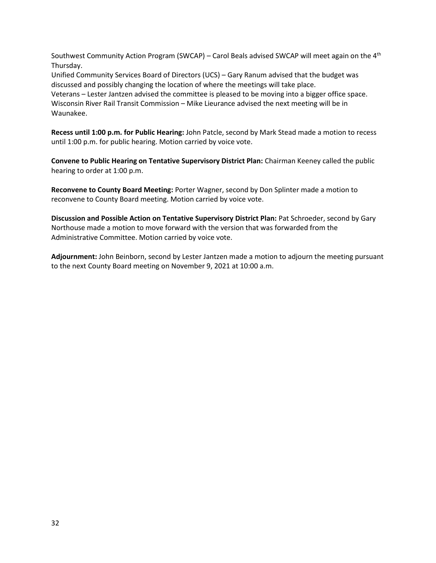Southwest Community Action Program (SWCAP) – Carol Beals advised SWCAP will meet again on the  $4<sup>th</sup>$ Thursday.

Unified Community Services Board of Directors (UCS) – Gary Ranum advised that the budget was discussed and possibly changing the location of where the meetings will take place. Veterans – Lester Jantzen advised the committee is pleased to be moving into a bigger office space. Wisconsin River Rail Transit Commission – Mike Lieurance advised the next meeting will be in Waunakee.

**Recess until 1:00 p.m. for Public Hearing:** John Patcle, second by Mark Stead made a motion to recess until 1:00 p.m. for public hearing. Motion carried by voice vote.

**Convene to Public Hearing on Tentative Supervisory District Plan:** Chairman Keeney called the public hearing to order at 1:00 p.m.

**Reconvene to County Board Meeting:** Porter Wagner, second by Don Splinter made a motion to reconvene to County Board meeting. Motion carried by voice vote.

**Discussion and Possible Action on Tentative Supervisory District Plan:** Pat Schroeder, second by Gary Northouse made a motion to move forward with the version that was forwarded from the Administrative Committee. Motion carried by voice vote.

**Adjournment:** John Beinborn, second by Lester Jantzen made a motion to adjourn the meeting pursuant to the next County Board meeting on November 9, 2021 at 10:00 a.m.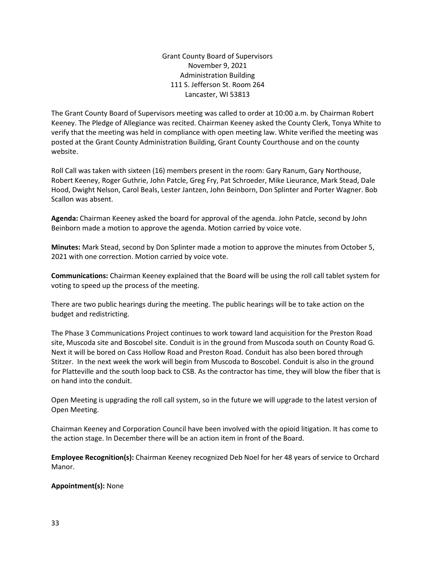Grant County Board of Supervisors November 9, 2021 Administration Building 111 S. Jefferson St. Room 264 Lancaster, WI 53813

The Grant County Board of Supervisors meeting was called to order at 10:00 a.m. by Chairman Robert Keeney. The Pledge of Allegiance was recited. Chairman Keeney asked the County Clerk, Tonya White to verify that the meeting was held in compliance with open meeting law. White verified the meeting was posted at the Grant County Administration Building, Grant County Courthouse and on the county website.

Roll Call was taken with sixteen (16) members present in the room: Gary Ranum, Gary Northouse, Robert Keeney, Roger Guthrie, John Patcle, Greg Fry, Pat Schroeder, Mike Lieurance, Mark Stead, Dale Hood, Dwight Nelson, Carol Beals, Lester Jantzen, John Beinborn, Don Splinter and Porter Wagner. Bob Scallon was absent.

**Agenda:** Chairman Keeney asked the board for approval of the agenda. John Patcle, second by John Beinborn made a motion to approve the agenda. Motion carried by voice vote.

**Minutes:** Mark Stead, second by Don Splinter made a motion to approve the minutes from October 5, 2021 with one correction. Motion carried by voice vote.

**Communications:** Chairman Keeney explained that the Board will be using the roll call tablet system for voting to speed up the process of the meeting.

There are two public hearings during the meeting. The public hearings will be to take action on the budget and redistricting.

The Phase 3 Communications Project continues to work toward land acquisition for the Preston Road site, Muscoda site and Boscobel site. Conduit is in the ground from Muscoda south on County Road G. Next it will be bored on Cass Hollow Road and Preston Road. Conduit has also been bored through Stitzer. In the next week the work will begin from Muscoda to Boscobel. Conduit is also in the ground for Platteville and the south loop back to CSB. As the contractor has time, they will blow the fiber that is on hand into the conduit.

Open Meeting is upgrading the roll call system, so in the future we will upgrade to the latest version of Open Meeting.

Chairman Keeney and Corporation Council have been involved with the opioid litigation. It has come to the action stage. In December there will be an action item in front of the Board.

**Employee Recognition(s):** Chairman Keeney recognized Deb Noel for her 48 years of service to Orchard Manor.

**Appointment(s):** None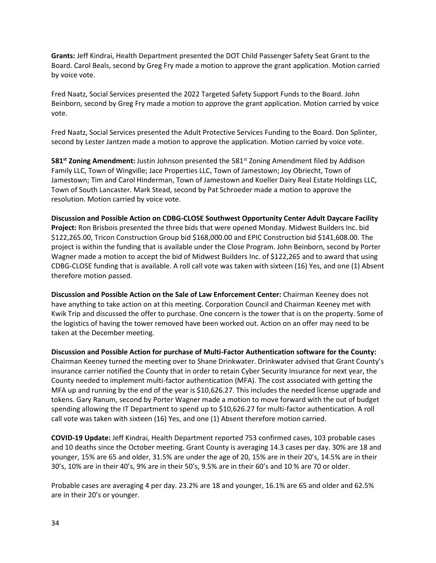**Grants:** Jeff Kindrai, Health Department presented the DOT Child Passenger Safety Seat Grant to the Board. Carol Beals, second by Greg Fry made a motion to approve the grant application. Motion carried by voice vote.

Fred Naatz, Social Services presented the 2022 Targeted Safety Support Funds to the Board. John Beinborn, second by Greg Fry made a motion to approve the grant application. Motion carried by voice vote.

Fred Naatz, Social Services presented the Adult Protective Services Funding to the Board. Don Splinter, second by Lester Jantzen made a motion to approve the application. Motion carried by voice vote.

**581<sup>st</sup> Zoning Amendment:** Justin Johnson presented the 581<sup>st</sup> Zoning Amendment filed by Addison Family LLC, Town of Wingville; Jace Properties LLC, Town of Jamestown; Joy Obriecht, Town of Jamestown; Tim and Carol Hinderman, Town of Jamestown and Koeller Dairy Real Estate Holdings LLC, Town of South Lancaster. Mark Stead, second by Pat Schroeder made a motion to approve the resolution. Motion carried by voice vote.

**Discussion and Possible Action on CDBG-CLOSE Southwest Opportunity Center Adult Daycare Facility Project:** Ron Brisbois presented the three bids that were opened Monday. Midwest Builders Inc. bid \$122,265.00, Tricon Construction Group bid \$168,000.00 and EPIC Construction bid \$141,608.00. The project is within the funding that is available under the Close Program. John Beinborn, second by Porter Wagner made a motion to accept the bid of Midwest Builders Inc. of \$122,265 and to award that using CDBG-CLOSE funding that is available. A roll call vote was taken with sixteen (16) Yes, and one (1) Absent therefore motion passed.

**Discussion and Possible Action on the Sale of Law Enforcement Center:** Chairman Keeney does not have anything to take action on at this meeting. Corporation Council and Chairman Keeney met with Kwik Trip and discussed the offer to purchase. One concern is the tower that is on the property. Some of the logistics of having the tower removed have been worked out. Action on an offer may need to be taken at the December meeting.

**Discussion and Possible Action for purchase of Multi-Factor Authentication software for the County:** Chairman Keeney turned the meeting over to Shane Drinkwater. Drinkwater advised that Grant County's insurance carrier notified the County that in order to retain Cyber Security Insurance for next year, the County needed to implement multi-factor authentication (MFA). The cost associated with getting the MFA up and running by the end of the year is \$10,626.27. This includes the needed license upgrade and tokens. Gary Ranum, second by Porter Wagner made a motion to move forward with the out of budget spending allowing the IT Department to spend up to \$10,626.27 for multi-factor authentication. A roll call vote was taken with sixteen (16) Yes, and one (1) Absent therefore motion carried.

**COVID-19 Update:** Jeff Kindrai, Health Department reported 753 confirmed cases, 103 probable cases and 10 deaths since the October meeting. Grant County is averaging 14.3 cases per day. 30% are 18 and younger, 15% are 65 and older, 31.5% are under the age of 20, 15% are in their 20's, 14.5% are in their 30's, 10% are in their 40's, 9% are in their 50's, 9.5% are in their 60's and 10 % are 70 or older.

Probable cases are averaging 4 per day. 23.2% are 18 and younger, 16.1% are 65 and older and 62.5% are in their 20's or younger.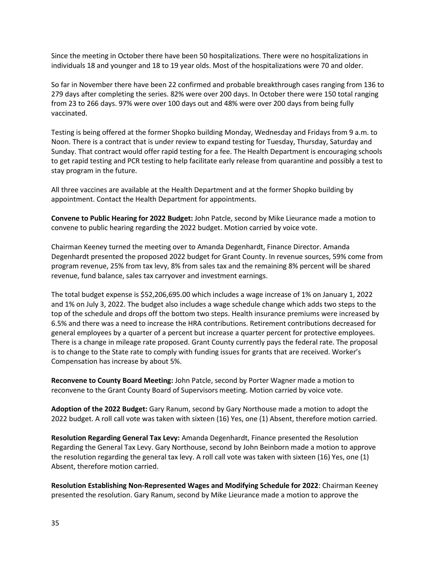Since the meeting in October there have been 50 hospitalizations. There were no hospitalizations in individuals 18 and younger and 18 to 19 year olds. Most of the hospitalizations were 70 and older.

So far in November there have been 22 confirmed and probable breakthrough cases ranging from 136 to 279 days after completing the series. 82% were over 200 days. In October there were 150 total ranging from 23 to 266 days. 97% were over 100 days out and 48% were over 200 days from being fully vaccinated.

Testing is being offered at the former Shopko building Monday, Wednesday and Fridays from 9 a.m. to Noon. There is a contract that is under review to expand testing for Tuesday, Thursday, Saturday and Sunday. That contract would offer rapid testing for a fee. The Health Department is encouraging schools to get rapid testing and PCR testing to help facilitate early release from quarantine and possibly a test to stay program in the future.

All three vaccines are available at the Health Department and at the former Shopko building by appointment. Contact the Health Department for appointments.

**Convene to Public Hearing for 2022 Budget:** John Patcle, second by Mike Lieurance made a motion to convene to public hearing regarding the 2022 budget. Motion carried by voice vote.

Chairman Keeney turned the meeting over to Amanda Degenhardt, Finance Director. Amanda Degenhardt presented the proposed 2022 budget for Grant County. In revenue sources, 59% come from program revenue, 25% from tax levy, 8% from sales tax and the remaining 8% percent will be shared revenue, fund balance, sales tax carryover and investment earnings.

The total budget expense is \$52,206,695.00 which includes a wage increase of 1% on January 1, 2022 and 1% on July 3, 2022. The budget also includes a wage schedule change which adds two steps to the top of the schedule and drops off the bottom two steps. Health insurance premiums were increased by 6.5% and there was a need to increase the HRA contributions. Retirement contributions decreased for general employees by a quarter of a percent but increase a quarter percent for protective employees. There is a change in mileage rate proposed. Grant County currently pays the federal rate. The proposal is to change to the State rate to comply with funding issues for grants that are received. Worker's Compensation has increase by about 5%.

**Reconvene to County Board Meeting:** John Patcle, second by Porter Wagner made a motion to reconvene to the Grant County Board of Supervisors meeting. Motion carried by voice vote.

**Adoption of the 2022 Budget:** Gary Ranum, second by Gary Northouse made a motion to adopt the 2022 budget. A roll call vote was taken with sixteen (16) Yes, one (1) Absent, therefore motion carried.

**Resolution Regarding General Tax Levy:** Amanda Degenhardt, Finance presented the Resolution Regarding the General Tax Levy. Gary Northouse, second by John Beinborn made a motion to approve the resolution regarding the general tax levy. A roll call vote was taken with sixteen (16) Yes, one (1) Absent, therefore motion carried.

**Resolution Establishing Non-Represented Wages and Modifying Schedule for 2022**: Chairman Keeney presented the resolution. Gary Ranum, second by Mike Lieurance made a motion to approve the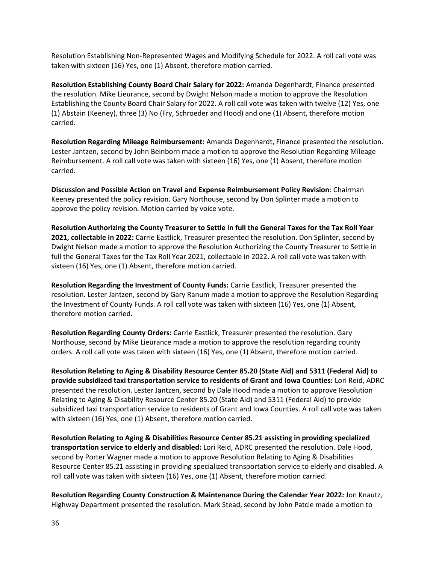Resolution Establishing Non-Represented Wages and Modifying Schedule for 2022. A roll call vote was taken with sixteen (16) Yes, one (1) Absent, therefore motion carried.

**Resolution Establishing County Board Chair Salary for 2022:** Amanda Degenhardt, Finance presented the resolution. Mike Lieurance, second by Dwight Nelson made a motion to approve the Resolution Establishing the County Board Chair Salary for 2022. A roll call vote was taken with twelve (12) Yes, one (1) Abstain (Keeney), three (3) No (Fry, Schroeder and Hood) and one (1) Absent, therefore motion carried.

**Resolution Regarding Mileage Reimbursement:** Amanda Degenhardt, Finance presented the resolution. Lester Jantzen, second by John Beinborn made a motion to approve the Resolution Regarding Mileage Reimbursement. A roll call vote was taken with sixteen (16) Yes, one (1) Absent, therefore motion carried.

**Discussion and Possible Action on Travel and Expense Reimbursement Policy Revision**: Chairman Keeney presented the policy revision. Gary Northouse, second by Don Splinter made a motion to approve the policy revision. Motion carried by voice vote.

**Resolution Authorizing the County Treasurer to Settle in full the General Taxes for the Tax Roll Year 2021, collectable in 2022:** Carrie Eastlick, Treasurer presented the resolution. Don Splinter, second by Dwight Nelson made a motion to approve the Resolution Authorizing the County Treasurer to Settle in full the General Taxes for the Tax Roll Year 2021, collectable in 2022. A roll call vote was taken with sixteen (16) Yes, one (1) Absent, therefore motion carried.

**Resolution Regarding the Investment of County Funds:** Carrie Eastlick, Treasurer presented the resolution. Lester Jantzen, second by Gary Ranum made a motion to approve the Resolution Regarding the Investment of County Funds. A roll call vote was taken with sixteen (16) Yes, one (1) Absent, therefore motion carried.

**Resolution Regarding County Orders:** Carrie Eastlick, Treasurer presented the resolution. Gary Northouse, second by Mike Lieurance made a motion to approve the resolution regarding county orders. A roll call vote was taken with sixteen (16) Yes, one (1) Absent, therefore motion carried.

**Resolution Relating to Aging & Disability Resource Center 85.20 (State Aid) and 5311 (Federal Aid) to provide subsidized taxi transportation service to residents of Grant and Iowa Counties:** Lori Reid, ADRC presented the resolution. Lester Jantzen, second by Dale Hood made a motion to approve Resolution Relating to Aging & Disability Resource Center 85.20 (State Aid) and 5311 (Federal Aid) to provide subsidized taxi transportation service to residents of Grant and Iowa Counties. A roll call vote was taken with sixteen (16) Yes, one (1) Absent, therefore motion carried.

**Resolution Relating to Aging & Disabilities Resource Center 85.21 assisting in providing specialized transportation service to elderly and disabled:** Lori Reid, ADRC presented the resolution. Dale Hood, second by Porter Wagner made a motion to approve Resolution Relating to Aging & Disabilities Resource Center 85.21 assisting in providing specialized transportation service to elderly and disabled. A roll call vote was taken with sixteen (16) Yes, one (1) Absent, therefore motion carried.

**Resolution Regarding County Construction & Maintenance During the Calendar Year 2022:** Jon Knautz, Highway Department presented the resolution. Mark Stead, second by John Patcle made a motion to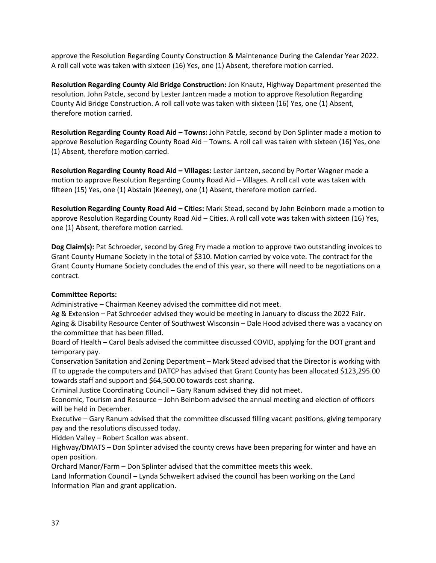approve the Resolution Regarding County Construction & Maintenance During the Calendar Year 2022. A roll call vote was taken with sixteen (16) Yes, one (1) Absent, therefore motion carried.

**Resolution Regarding County Aid Bridge Construction:** Jon Knautz, Highway Department presented the resolution. John Patcle, second by Lester Jantzen made a motion to approve Resolution Regarding County Aid Bridge Construction. A roll call vote was taken with sixteen (16) Yes, one (1) Absent, therefore motion carried.

**Resolution Regarding County Road Aid – Towns:** John Patcle, second by Don Splinter made a motion to approve Resolution Regarding County Road Aid – Towns. A roll call was taken with sixteen (16) Yes, one (1) Absent, therefore motion carried.

**Resolution Regarding County Road Aid – Villages:** Lester Jantzen, second by Porter Wagner made a motion to approve Resolution Regarding County Road Aid – Villages. A roll call vote was taken with fifteen (15) Yes, one (1) Abstain (Keeney), one (1) Absent, therefore motion carried.

**Resolution Regarding County Road Aid – Cities:** Mark Stead, second by John Beinborn made a motion to approve Resolution Regarding County Road Aid – Cities. A roll call vote was taken with sixteen (16) Yes, one (1) Absent, therefore motion carried.

**Dog Claim(s):** Pat Schroeder, second by Greg Fry made a motion to approve two outstanding invoices to Grant County Humane Society in the total of \$310. Motion carried by voice vote. The contract for the Grant County Humane Society concludes the end of this year, so there will need to be negotiations on a contract.

## **Committee Reports:**

Administrative – Chairman Keeney advised the committee did not meet.

Ag & Extension – Pat Schroeder advised they would be meeting in January to discuss the 2022 Fair. Aging & Disability Resource Center of Southwest Wisconsin – Dale Hood advised there was a vacancy on the committee that has been filled.

Board of Health – Carol Beals advised the committee discussed COVID, applying for the DOT grant and temporary pay.

Conservation Sanitation and Zoning Department – Mark Stead advised that the Director is working with IT to upgrade the computers and DATCP has advised that Grant County has been allocated \$123,295.00 towards staff and support and \$64,500.00 towards cost sharing.

Criminal Justice Coordinating Council – Gary Ranum advised they did not meet.

Economic, Tourism and Resource – John Beinborn advised the annual meeting and election of officers will be held in December.

Executive – Gary Ranum advised that the committee discussed filling vacant positions, giving temporary pay and the resolutions discussed today.

Hidden Valley – Robert Scallon was absent.

Highway/DMATS – Don Splinter advised the county crews have been preparing for winter and have an open position.

Orchard Manor/Farm – Don Splinter advised that the committee meets this week.

Land Information Council – Lynda Schweikert advised the council has been working on the Land Information Plan and grant application.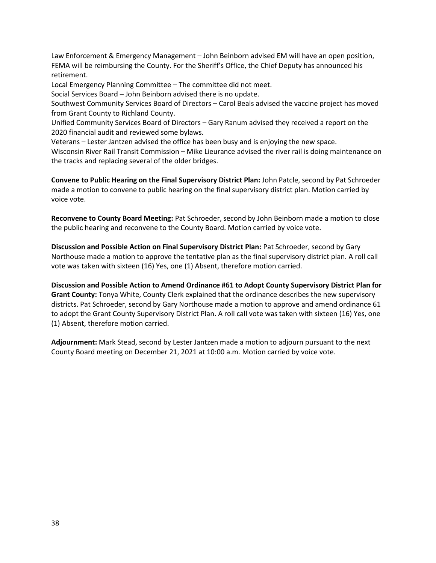Law Enforcement & Emergency Management – John Beinborn advised EM will have an open position, FEMA will be reimbursing the County. For the Sheriff's Office, the Chief Deputy has announced his retirement.

Local Emergency Planning Committee – The committee did not meet.

Social Services Board – John Beinborn advised there is no update.

Southwest Community Services Board of Directors – Carol Beals advised the vaccine project has moved from Grant County to Richland County.

Unified Community Services Board of Directors – Gary Ranum advised they received a report on the 2020 financial audit and reviewed some bylaws.

Veterans – Lester Jantzen advised the office has been busy and is enjoying the new space.

Wisconsin River Rail Transit Commission – Mike Lieurance advised the river rail is doing maintenance on the tracks and replacing several of the older bridges.

**Convene to Public Hearing on the Final Supervisory District Plan:** John Patcle, second by Pat Schroeder made a motion to convene to public hearing on the final supervisory district plan. Motion carried by voice vote.

**Reconvene to County Board Meeting:** Pat Schroeder, second by John Beinborn made a motion to close the public hearing and reconvene to the County Board. Motion carried by voice vote.

**Discussion and Possible Action on Final Supervisory District Plan:** Pat Schroeder, second by Gary Northouse made a motion to approve the tentative plan as the final supervisory district plan. A roll call vote was taken with sixteen (16) Yes, one (1) Absent, therefore motion carried.

**Discussion and Possible Action to Amend Ordinance #61 to Adopt County Supervisory District Plan for Grant County:** Tonya White, County Clerk explained that the ordinance describes the new supervisory districts. Pat Schroeder, second by Gary Northouse made a motion to approve and amend ordinance 61 to adopt the Grant County Supervisory District Plan. A roll call vote was taken with sixteen (16) Yes, one (1) Absent, therefore motion carried.

**Adjournment:** Mark Stead, second by Lester Jantzen made a motion to adjourn pursuant to the next County Board meeting on December 21, 2021 at 10:00 a.m. Motion carried by voice vote.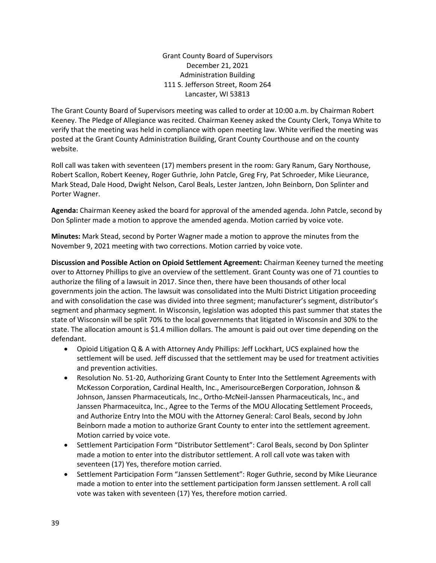Grant County Board of Supervisors December 21, 2021 Administration Building 111 S. Jefferson Street, Room 264 Lancaster, WI 53813

The Grant County Board of Supervisors meeting was called to order at 10:00 a.m. by Chairman Robert Keeney. The Pledge of Allegiance was recited. Chairman Keeney asked the County Clerk, Tonya White to verify that the meeting was held in compliance with open meeting law. White verified the meeting was posted at the Grant County Administration Building, Grant County Courthouse and on the county website.

Roll call was taken with seventeen (17) members present in the room: Gary Ranum, Gary Northouse, Robert Scallon, Robert Keeney, Roger Guthrie, John Patcle, Greg Fry, Pat Schroeder, Mike Lieurance, Mark Stead, Dale Hood, Dwight Nelson, Carol Beals, Lester Jantzen, John Beinborn, Don Splinter and Porter Wagner.

**Agenda:** Chairman Keeney asked the board for approval of the amended agenda. John Patcle, second by Don Splinter made a motion to approve the amended agenda. Motion carried by voice vote.

**Minutes:** Mark Stead, second by Porter Wagner made a motion to approve the minutes from the November 9, 2021 meeting with two corrections. Motion carried by voice vote.

**Discussion and Possible Action on Opioid Settlement Agreement:** Chairman Keeney turned the meeting over to Attorney Phillips to give an overview of the settlement. Grant County was one of 71 counties to authorize the filing of a lawsuit in 2017. Since then, there have been thousands of other local governments join the action. The lawsuit was consolidated into the Multi District Litigation proceeding and with consolidation the case was divided into three segment; manufacturer's segment, distributor's segment and pharmacy segment. In Wisconsin, legislation was adopted this past summer that states the state of Wisconsin will be split 70% to the local governments that litigated in Wisconsin and 30% to the state. The allocation amount is \$1.4 million dollars. The amount is paid out over time depending on the defendant.

- Opioid Litigation Q & A with Attorney Andy Phillips: Jeff Lockhart, UCS explained how the settlement will be used. Jeff discussed that the settlement may be used for treatment activities and prevention activities.
- Resolution No. 51-20, Authorizing Grant County to Enter Into the Settlement Agreements with McKesson Corporation, Cardinal Health, Inc., AmerisourceBergen Corporation, Johnson & Johnson, Janssen Pharmaceuticals, Inc., Ortho-McNeil-Janssen Pharmaceuticals, Inc., and Janssen Pharmaceuitca, Inc., Agree to the Terms of the MOU Allocating Settlement Proceeds, and Authorize Entry Into the MOU with the Attorney General: Carol Beals, second by John Beinborn made a motion to authorize Grant County to enter into the settlement agreement. Motion carried by voice vote.
- Settlement Participation Form "Distributor Settlement": Carol Beals, second by Don Splinter made a motion to enter into the distributor settlement. A roll call vote was taken with seventeen (17) Yes, therefore motion carried.
- Settlement Participation Form "Janssen Settlement": Roger Guthrie, second by Mike Lieurance made a motion to enter into the settlement participation form Janssen settlement. A roll call vote was taken with seventeen (17) Yes, therefore motion carried.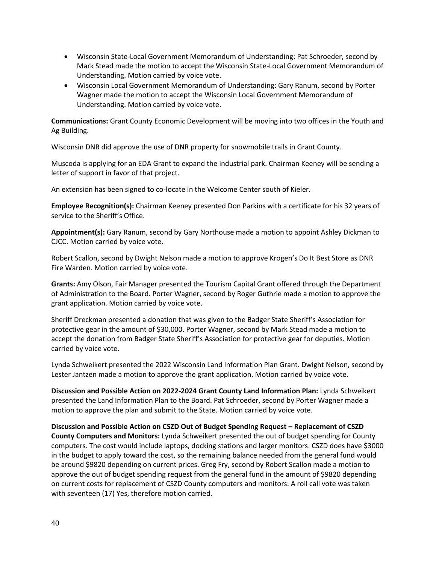- Wisconsin State-Local Government Memorandum of Understanding: Pat Schroeder, second by Mark Stead made the motion to accept the Wisconsin State-Local Government Memorandum of Understanding. Motion carried by voice vote.
- Wisconsin Local Government Memorandum of Understanding: Gary Ranum, second by Porter Wagner made the motion to accept the Wisconsin Local Government Memorandum of Understanding. Motion carried by voice vote.

**Communications:** Grant County Economic Development will be moving into two offices in the Youth and Ag Building.

Wisconsin DNR did approve the use of DNR property for snowmobile trails in Grant County.

Muscoda is applying for an EDA Grant to expand the industrial park. Chairman Keeney will be sending a letter of support in favor of that project.

An extension has been signed to co-locate in the Welcome Center south of Kieler.

**Employee Recognition(s):** Chairman Keeney presented Don Parkins with a certificate for his 32 years of service to the Sheriff's Office.

**Appointment(s):** Gary Ranum, second by Gary Northouse made a motion to appoint Ashley Dickman to CJCC. Motion carried by voice vote.

Robert Scallon, second by Dwight Nelson made a motion to approve Krogen's Do It Best Store as DNR Fire Warden. Motion carried by voice vote.

**Grants:** Amy Olson, Fair Manager presented the Tourism Capital Grant offered through the Department of Administration to the Board. Porter Wagner, second by Roger Guthrie made a motion to approve the grant application. Motion carried by voice vote.

Sheriff Dreckman presented a donation that was given to the Badger State Sheriff's Association for protective gear in the amount of \$30,000. Porter Wagner, second by Mark Stead made a motion to accept the donation from Badger State Sheriff's Association for protective gear for deputies. Motion carried by voice vote.

Lynda Schweikert presented the 2022 Wisconsin Land Information Plan Grant. Dwight Nelson, second by Lester Jantzen made a motion to approve the grant application. Motion carried by voice vote.

**Discussion and Possible Action on 2022-2024 Grant County Land Information Plan:** Lynda Schweikert presented the Land Information Plan to the Board. Pat Schroeder, second by Porter Wagner made a motion to approve the plan and submit to the State. Motion carried by voice vote.

**Discussion and Possible Action on CSZD Out of Budget Spending Request – Replacement of CSZD County Computers and Monitors:** Lynda Schweikert presented the out of budget spending for County computers. The cost would include laptops, docking stations and larger monitors. CSZD does have \$3000 in the budget to apply toward the cost, so the remaining balance needed from the general fund would be around \$9820 depending on current prices. Greg Fry, second by Robert Scallon made a motion to approve the out of budget spending request from the general fund in the amount of \$9820 depending on current costs for replacement of CSZD County computers and monitors. A roll call vote was taken with seventeen (17) Yes, therefore motion carried.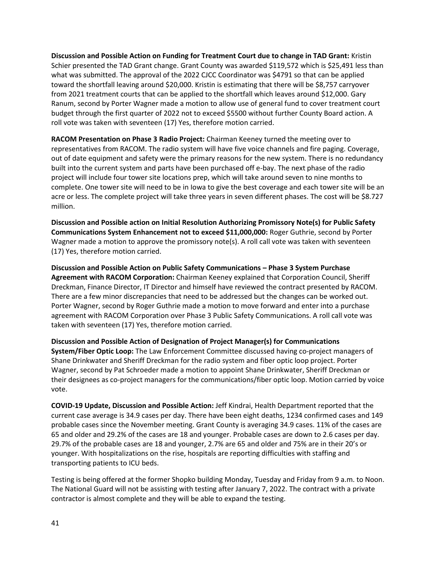**Discussion and Possible Action on Funding for Treatment Court due to change in TAD Grant:** Kristin Schier presented the TAD Grant change. Grant County was awarded \$119,572 which is \$25,491 less than what was submitted. The approval of the 2022 CJCC Coordinator was \$4791 so that can be applied toward the shortfall leaving around \$20,000. Kristin is estimating that there will be \$8,757 carryover from 2021 treatment courts that can be applied to the shortfall which leaves around \$12,000. Gary Ranum, second by Porter Wagner made a motion to allow use of general fund to cover treatment court budget through the first quarter of 2022 not to exceed \$5500 without further County Board action. A roll vote was taken with seventeen (17) Yes, therefore motion carried.

**RACOM Presentation on Phase 3 Radio Project:** Chairman Keeney turned the meeting over to representatives from RACOM. The radio system will have five voice channels and fire paging. Coverage, out of date equipment and safety were the primary reasons for the new system. There is no redundancy built into the current system and parts have been purchased off e-bay. The next phase of the radio project will include four tower site locations prep, which will take around seven to nine months to complete. One tower site will need to be in Iowa to give the best coverage and each tower site will be an acre or less. The complete project will take three years in seven different phases. The cost will be \$8.727 million.

**Discussion and Possible action on Initial Resolution Authorizing Promissory Note(s) for Public Safety Communications System Enhancement not to exceed \$11,000,000:** Roger Guthrie, second by Porter Wagner made a motion to approve the promissory note(s). A roll call vote was taken with seventeen (17) Yes, therefore motion carried.

**Discussion and Possible Action on Public Safety Communications – Phase 3 System Purchase Agreement with RACOM Corporation:** Chairman Keeney explained that Corporation Council, Sheriff Dreckman, Finance Director, IT Director and himself have reviewed the contract presented by RACOM. There are a few minor discrepancies that need to be addressed but the changes can be worked out. Porter Wagner, second by Roger Guthrie made a motion to move forward and enter into a purchase agreement with RACOM Corporation over Phase 3 Public Safety Communications. A roll call vote was taken with seventeen (17) Yes, therefore motion carried.

**Discussion and Possible Action of Designation of Project Manager(s) for Communications System/Fiber Optic Loop:** The Law Enforcement Committee discussed having co-project managers of Shane Drinkwater and Sheriff Dreckman for the radio system and fiber optic loop project. Porter Wagner, second by Pat Schroeder made a motion to appoint Shane Drinkwater, Sheriff Dreckman or their designees as co-project managers for the communications/fiber optic loop. Motion carried by voice vote.

**COVID-19 Update, Discussion and Possible Action:** Jeff Kindrai, Health Department reported that the current case average is 34.9 cases per day. There have been eight deaths, 1234 confirmed cases and 149 probable cases since the November meeting. Grant County is averaging 34.9 cases. 11% of the cases are 65 and older and 29.2% of the cases are 18 and younger. Probable cases are down to 2.6 cases per day. 29.7% of the probable cases are 18 and younger, 2.7% are 65 and older and 75% are in their 20's or younger. With hospitalizations on the rise, hospitals are reporting difficulties with staffing and transporting patients to ICU beds.

Testing is being offered at the former Shopko building Monday, Tuesday and Friday from 9 a.m. to Noon. The National Guard will not be assisting with testing after January 7, 2022. The contract with a private contractor is almost complete and they will be able to expand the testing.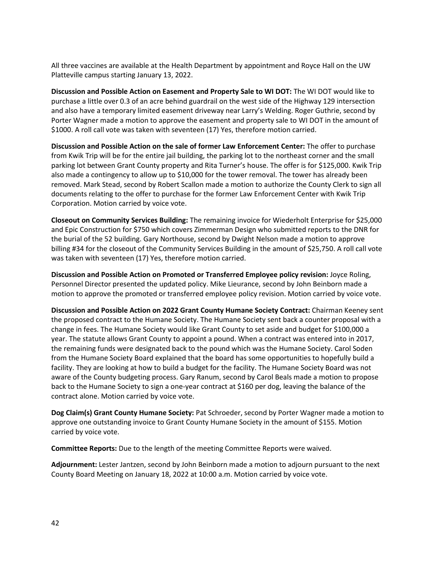All three vaccines are available at the Health Department by appointment and Royce Hall on the UW Platteville campus starting January 13, 2022.

**Discussion and Possible Action on Easement and Property Sale to WI DOT:** The WI DOT would like to purchase a little over 0.3 of an acre behind guardrail on the west side of the Highway 129 intersection and also have a temporary limited easement driveway near Larry's Welding. Roger Guthrie, second by Porter Wagner made a motion to approve the easement and property sale to WI DOT in the amount of \$1000. A roll call vote was taken with seventeen (17) Yes, therefore motion carried.

**Discussion and Possible Action on the sale of former Law Enforcement Center:** The offer to purchase from Kwik Trip will be for the entire jail building, the parking lot to the northeast corner and the small parking lot between Grant County property and Rita Turner's house. The offer is for \$125,000. Kwik Trip also made a contingency to allow up to \$10,000 for the tower removal. The tower has already been removed. Mark Stead, second by Robert Scallon made a motion to authorize the County Clerk to sign all documents relating to the offer to purchase for the former Law Enforcement Center with Kwik Trip Corporation. Motion carried by voice vote.

**Closeout on Community Services Building:** The remaining invoice for Wiederholt Enterprise for \$25,000 and Epic Construction for \$750 which covers Zimmerman Design who submitted reports to the DNR for the burial of the 52 building. Gary Northouse, second by Dwight Nelson made a motion to approve billing #34 for the closeout of the Community Services Building in the amount of \$25,750. A roll call vote was taken with seventeen (17) Yes, therefore motion carried.

**Discussion and Possible Action on Promoted or Transferred Employee policy revision:** Joyce Roling, Personnel Director presented the updated policy. Mike Lieurance, second by John Beinborn made a motion to approve the promoted or transferred employee policy revision. Motion carried by voice vote.

**Discussion and Possible Action on 2022 Grant County Humane Society Contract:** Chairman Keeney sent the proposed contract to the Humane Society. The Humane Society sent back a counter proposal with a change in fees. The Humane Society would like Grant County to set aside and budget for \$100,000 a year. The statute allows Grant County to appoint a pound. When a contract was entered into in 2017, the remaining funds were designated back to the pound which was the Humane Society. Carol Soden from the Humane Society Board explained that the board has some opportunities to hopefully build a facility. They are looking at how to build a budget for the facility. The Humane Society Board was not aware of the County budgeting process. Gary Ranum, second by Carol Beals made a motion to propose back to the Humane Society to sign a one-year contract at \$160 per dog, leaving the balance of the contract alone. Motion carried by voice vote.

**Dog Claim(s) Grant County Humane Society:** Pat Schroeder, second by Porter Wagner made a motion to approve one outstanding invoice to Grant County Humane Society in the amount of \$155. Motion carried by voice vote.

**Committee Reports:** Due to the length of the meeting Committee Reports were waived.

**Adjournment:** Lester Jantzen, second by John Beinborn made a motion to adjourn pursuant to the next County Board Meeting on January 18, 2022 at 10:00 a.m. Motion carried by voice vote.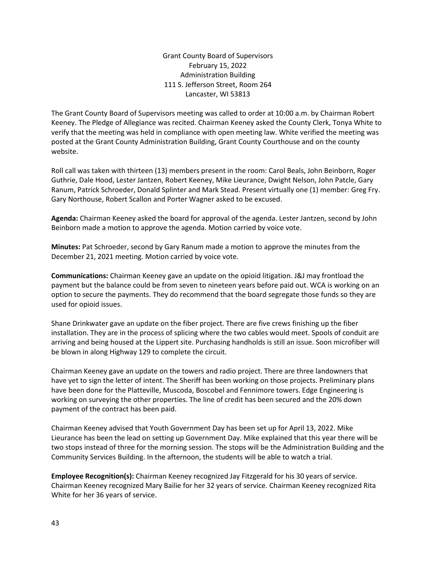Grant County Board of Supervisors February 15, 2022 Administration Building 111 S. Jefferson Street, Room 264 Lancaster, WI 53813

The Grant County Board of Supervisors meeting was called to order at 10:00 a.m. by Chairman Robert Keeney. The Pledge of Allegiance was recited. Chairman Keeney asked the County Clerk, Tonya White to verify that the meeting was held in compliance with open meeting law. White verified the meeting was posted at the Grant County Administration Building, Grant County Courthouse and on the county website.

Roll call was taken with thirteen (13) members present in the room: Carol Beals, John Beinborn, Roger Guthrie, Dale Hood, Lester Jantzen, Robert Keeney, Mike Lieurance, Dwight Nelson, John Patcle, Gary Ranum, Patrick Schroeder, Donald Splinter and Mark Stead. Present virtually one (1) member: Greg Fry. Gary Northouse, Robert Scallon and Porter Wagner asked to be excused.

**Agenda:** Chairman Keeney asked the board for approval of the agenda. Lester Jantzen, second by John Beinborn made a motion to approve the agenda. Motion carried by voice vote.

**Minutes:** Pat Schroeder, second by Gary Ranum made a motion to approve the minutes from the December 21, 2021 meeting. Motion carried by voice vote.

**Communications:** Chairman Keeney gave an update on the opioid litigation. J&J may frontload the payment but the balance could be from seven to nineteen years before paid out. WCA is working on an option to secure the payments. They do recommend that the board segregate those funds so they are used for opioid issues.

Shane Drinkwater gave an update on the fiber project. There are five crews finishing up the fiber installation. They are in the process of splicing where the two cables would meet. Spools of conduit are arriving and being housed at the Lippert site. Purchasing handholds is still an issue. Soon microfiber will be blown in along Highway 129 to complete the circuit.

Chairman Keeney gave an update on the towers and radio project. There are three landowners that have yet to sign the letter of intent. The Sheriff has been working on those projects. Preliminary plans have been done for the Platteville, Muscoda, Boscobel and Fennimore towers. Edge Engineering is working on surveying the other properties. The line of credit has been secured and the 20% down payment of the contract has been paid.

Chairman Keeney advised that Youth Government Day has been set up for April 13, 2022. Mike Lieurance has been the lead on setting up Government Day. Mike explained that this year there will be two stops instead of three for the morning session. The stops will be the Administration Building and the Community Services Building. In the afternoon, the students will be able to watch a trial.

**Employee Recognition(s):** Chairman Keeney recognized Jay Fitzgerald for his 30 years of service. Chairman Keeney recognized Mary Bailie for her 32 years of service. Chairman Keeney recognized Rita White for her 36 years of service.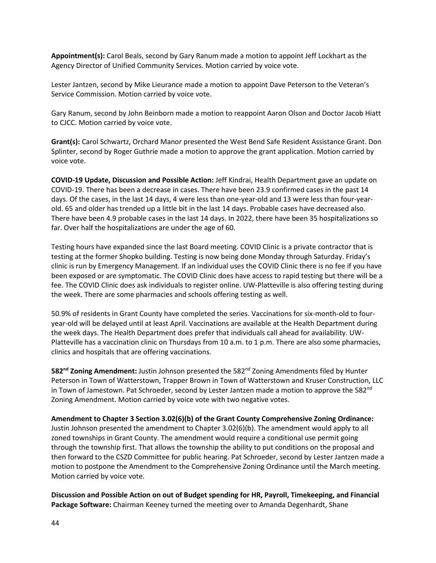**Appointment(s):** Carol Beals, second by Gary Ranum made a motion to appoint Jeff Lockhart as the Agency Director of Unified Community Services. Motion carried by voice vote.

Lester Jantzen, second by Mike Lieurance made a motion to appoint Dave Peterson to the Veteran's Service Commission. Motion carried by voice vote.

Gary Ranum, second by John Beinborn made a motion to reappoint Aaron Olson and Doctor Jacob Hiatt to CJCC. Motion carried by voice vote.

**Grant(s):** Carol Schwartz, Orchard Manor presented the West Bend Safe Resident Assistance Grant. Don Splinter, second by Roger Guthrie made a motion to approve the grant application. Motion carried by voice vote.

**COVID-19 Update, Discussion and Possible Action:** Jeff Kindrai, Health Department gave an update on COVID-19. There has been a decrease in cases. There have been 23.9 confirmed cases in the past 14 days. Of the cases, in the last 14 days, 4 were less than one-year-old and 13 were less than four-yearold. 65 and older has trended up a little bit in the last 14 days. Probable cases have decreased also. There have been 4.9 probable cases in the last 14 days. In 2022, there have been 35 hospitalizations so far. Over half the hospitalizations are under the age of 60.

Testing hours have expanded since the last Board meeting. COVID Clinic is a private contractor that is testing at the former Shopko building. Testing is now being done Monday through Saturday. Friday's clinic is run by Emergency Management. If an individual uses the COVID Clinic there is no fee if you have been exposed or are symptomatic. The COVID Clinic does have access to rapid testing but there will be a fee. The COVID Clinic does ask individuals to register online. UW-Platteville is also offering testing during the week. There are some pharmacies and schools offering testing as well.

50.9% of residents in Grant County have completed the series. Vaccinations for six-month-old to fouryear-old will be delayed until at least April. Vaccinations are available at the Health Department during the week days. The Health Department does prefer that individuals call ahead for availability. UW-Platteville has a vaccination clinic on Thursdays from 10 a.m. to 1 p.m. There are also some pharmacies, clinics and hospitals that are offering vaccinations.

**582nd Zoning Amendment:** Justin Johnson presented the 582nd Zoning Amendments filed by Hunter Peterson in Town of Watterstown, Trapper Brown in Town of Watterstown and Kruser Construction, LLC in Town of Jamestown. Pat Schroeder, second by Lester Jantzen made a motion to approve the 582 $^{\text{nd}}$ Zoning Amendment. Motion carried by voice vote with two negative votes.

**Amendment to Chapter 3 Section 3.02(6)(b) of the Grant County Comprehensive Zoning Ordinance:**  Justin Johnson presented the amendment to Chapter 3.02(6)(b). The amendment would apply to all zoned townships in Grant County. The amendment would require a conditional use permit going through the township first. That allows the township the ability to put conditions on the proposal and then forward to the CSZD Committee for public hearing. Pat Schroeder, second by Lester Jantzen made a motion to postpone the Amendment to the Comprehensive Zoning Ordinance until the March meeting. Motion carried by voice vote.

**Discussion and Possible Action on out of Budget spending for HR, Payroll, Timekeeping, and Financial Package Software:** Chairman Keeney turned the meeting over to Amanda Degenhardt, Shane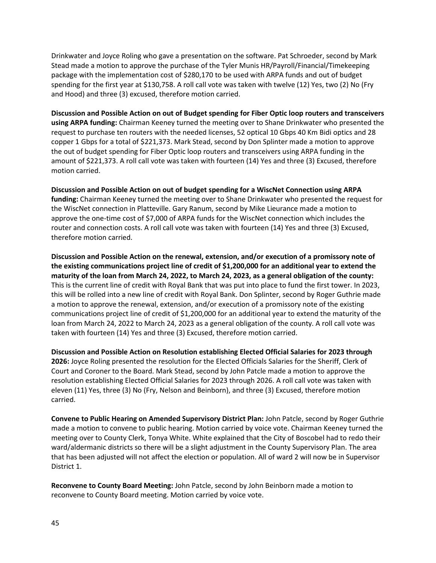Drinkwater and Joyce Roling who gave a presentation on the software. Pat Schroeder, second by Mark Stead made a motion to approve the purchase of the Tyler Munis HR/Payroll/Financial/Timekeeping package with the implementation cost of \$280,170 to be used with ARPA funds and out of budget spending for the first year at \$130,758. A roll call vote was taken with twelve (12) Yes, two (2) No (Fry and Hood) and three (3) excused, therefore motion carried.

**Discussion and Possible Action on out of Budget spending for Fiber Optic loop routers and transceivers using ARPA funding:** Chairman Keeney turned the meeting over to Shane Drinkwater who presented the request to purchase ten routers with the needed licenses, 52 optical 10 Gbps 40 Km Bidi optics and 28 copper 1 Gbps for a total of \$221,373. Mark Stead, second by Don Splinter made a motion to approve the out of budget spending for Fiber Optic loop routers and transceivers using ARPA funding in the amount of \$221,373. A roll call vote was taken with fourteen (14) Yes and three (3) Excused, therefore motion carried.

**Discussion and Possible Action on out of budget spending for a WiscNet Connection using ARPA funding:** Chairman Keeney turned the meeting over to Shane Drinkwater who presented the request for the WiscNet connection in Platteville. Gary Ranum, second by Mike Lieurance made a motion to approve the one-time cost of \$7,000 of ARPA funds for the WiscNet connection which includes the router and connection costs. A roll call vote was taken with fourteen (14) Yes and three (3) Excused, therefore motion carried.

**Discussion and Possible Action on the renewal, extension, and/or execution of a promissory note of the existing communications project line of credit of \$1,200,000 for an additional year to extend the maturity of the loan from March 24, 2022, to March 24, 2023, as a general obligation of the county:** This is the current line of credit with Royal Bank that was put into place to fund the first tower. In 2023, this will be rolled into a new line of credit with Royal Bank. Don Splinter, second by Roger Guthrie made a motion to approve the renewal, extension, and/or execution of a promissory note of the existing communications project line of credit of \$1,200,000 for an additional year to extend the maturity of the loan from March 24, 2022 to March 24, 2023 as a general obligation of the county. A roll call vote was taken with fourteen (14) Yes and three (3) Excused, therefore motion carried.

**Discussion and Possible Action on Resolution establishing Elected Official Salaries for 2023 through 2026:** Joyce Roling presented the resolution for the Elected Officials Salaries for the Sheriff, Clerk of Court and Coroner to the Board. Mark Stead, second by John Patcle made a motion to approve the resolution establishing Elected Official Salaries for 2023 through 2026. A roll call vote was taken with eleven (11) Yes, three (3) No (Fry, Nelson and Beinborn), and three (3) Excused, therefore motion carried.

**Convene to Public Hearing on Amended Supervisory District Plan:** John Patcle, second by Roger Guthrie made a motion to convene to public hearing. Motion carried by voice vote. Chairman Keeney turned the meeting over to County Clerk, Tonya White. White explained that the City of Boscobel had to redo their ward/aldermanic districts so there will be a slight adjustment in the County Supervisory Plan. The area that has been adjusted will not affect the election or population. All of ward 2 will now be in Supervisor District 1.

**Reconvene to County Board Meeting:** John Patcle, second by John Beinborn made a motion to reconvene to County Board meeting. Motion carried by voice vote.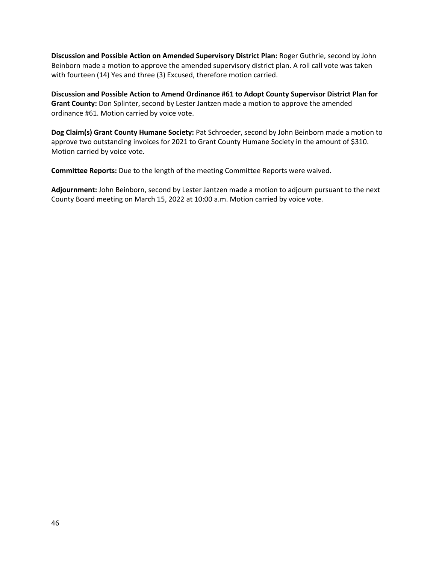**Discussion and Possible Action on Amended Supervisory District Plan:** Roger Guthrie, second by John Beinborn made a motion to approve the amended supervisory district plan. A roll call vote was taken with fourteen (14) Yes and three (3) Excused, therefore motion carried.

**Discussion and Possible Action to Amend Ordinance #61 to Adopt County Supervisor District Plan for Grant County:** Don Splinter, second by Lester Jantzen made a motion to approve the amended ordinance #61. Motion carried by voice vote.

**Dog Claim(s) Grant County Humane Society:** Pat Schroeder, second by John Beinborn made a motion to approve two outstanding invoices for 2021 to Grant County Humane Society in the amount of \$310. Motion carried by voice vote.

**Committee Reports:** Due to the length of the meeting Committee Reports were waived.

**Adjournment:** John Beinborn, second by Lester Jantzen made a motion to adjourn pursuant to the next County Board meeting on March 15, 2022 at 10:00 a.m. Motion carried by voice vote.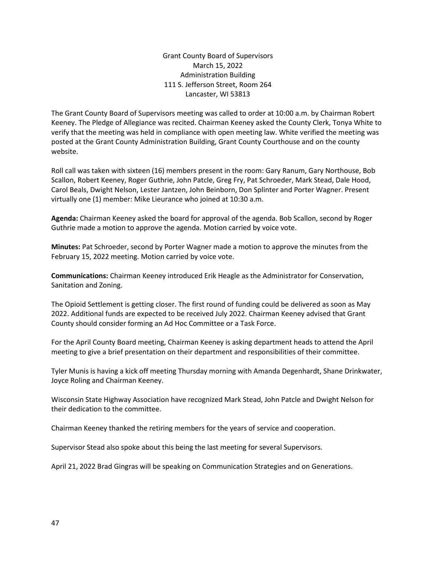Grant County Board of Supervisors March 15, 2022 Administration Building 111 S. Jefferson Street, Room 264 Lancaster, WI 53813

The Grant County Board of Supervisors meeting was called to order at 10:00 a.m. by Chairman Robert Keeney. The Pledge of Allegiance was recited. Chairman Keeney asked the County Clerk, Tonya White to verify that the meeting was held in compliance with open meeting law. White verified the meeting was posted at the Grant County Administration Building, Grant County Courthouse and on the county website.

Roll call was taken with sixteen (16) members present in the room: Gary Ranum, Gary Northouse, Bob Scallon, Robert Keeney, Roger Guthrie, John Patcle, Greg Fry, Pat Schroeder, Mark Stead, Dale Hood, Carol Beals, Dwight Nelson, Lester Jantzen, John Beinborn, Don Splinter and Porter Wagner. Present virtually one (1) member: Mike Lieurance who joined at 10:30 a.m.

**Agenda:** Chairman Keeney asked the board for approval of the agenda. Bob Scallon, second by Roger Guthrie made a motion to approve the agenda. Motion carried by voice vote.

**Minutes:** Pat Schroeder, second by Porter Wagner made a motion to approve the minutes from the February 15, 2022 meeting. Motion carried by voice vote.

**Communications:** Chairman Keeney introduced Erik Heagle as the Administrator for Conservation, Sanitation and Zoning.

The Opioid Settlement is getting closer. The first round of funding could be delivered as soon as May 2022. Additional funds are expected to be received July 2022. Chairman Keeney advised that Grant County should consider forming an Ad Hoc Committee or a Task Force.

For the April County Board meeting, Chairman Keeney is asking department heads to attend the April meeting to give a brief presentation on their department and responsibilities of their committee.

Tyler Munis is having a kick off meeting Thursday morning with Amanda Degenhardt, Shane Drinkwater, Joyce Roling and Chairman Keeney.

Wisconsin State Highway Association have recognized Mark Stead, John Patcle and Dwight Nelson for their dedication to the committee.

Chairman Keeney thanked the retiring members for the years of service and cooperation.

Supervisor Stead also spoke about this being the last meeting for several Supervisors.

April 21, 2022 Brad Gingras will be speaking on Communication Strategies and on Generations.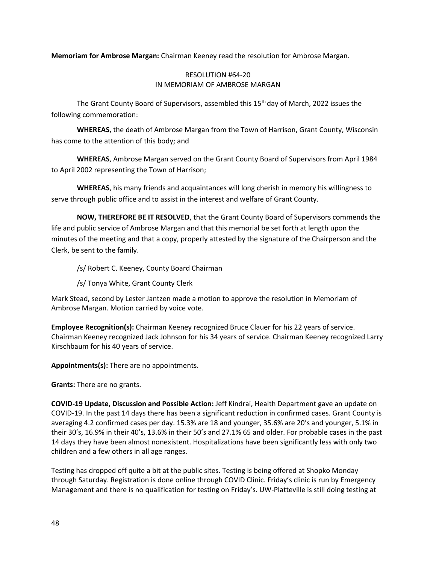**Memoriam for Ambrose Margan:** Chairman Keeney read the resolution for Ambrose Margan.

## RESOLUTION #64-20 IN MEMORIAM OF AMBROSE MARGAN

The Grant County Board of Supervisors, assembled this 15th day of March, 2022 issues the following commemoration:

**WHEREAS**, the death of Ambrose Margan from the Town of Harrison, Grant County, Wisconsin has come to the attention of this body; and

**WHEREAS**, Ambrose Margan served on the Grant County Board of Supervisors from April 1984 to April 2002 representing the Town of Harrison;

**WHEREAS**, his many friends and acquaintances will long cherish in memory his willingness to serve through public office and to assist in the interest and welfare of Grant County.

**NOW, THEREFORE BE IT RESOLVED**, that the Grant County Board of Supervisors commends the life and public service of Ambrose Margan and that this memorial be set forth at length upon the minutes of the meeting and that a copy, properly attested by the signature of the Chairperson and the Clerk, be sent to the family.

/s/ Robert C. Keeney, County Board Chairman

/s/ Tonya White, Grant County Clerk

Mark Stead, second by Lester Jantzen made a motion to approve the resolution in Memoriam of Ambrose Margan. Motion carried by voice vote.

**Employee Recognition(s):** Chairman Keeney recognized Bruce Clauer for his 22 years of service. Chairman Keeney recognized Jack Johnson for his 34 years of service. Chairman Keeney recognized Larry Kirschbaum for his 40 years of service.

**Appointments(s):** There are no appointments.

**Grants:** There are no grants.

**COVID-19 Update, Discussion and Possible Action:** Jeff Kindrai, Health Department gave an update on COVID-19. In the past 14 days there has been a significant reduction in confirmed cases. Grant County is averaging 4.2 confirmed cases per day. 15.3% are 18 and younger, 35.6% are 20's and younger, 5.1% in their 30's, 16.9% in their 40's, 13.6% in their 50's and 27.1% 65 and older. For probable cases in the past 14 days they have been almost nonexistent. Hospitalizations have been significantly less with only two children and a few others in all age ranges.

Testing has dropped off quite a bit at the public sites. Testing is being offered at Shopko Monday through Saturday. Registration is done online through COVID Clinic. Friday's clinic is run by Emergency Management and there is no qualification for testing on Friday's. UW-Platteville is still doing testing at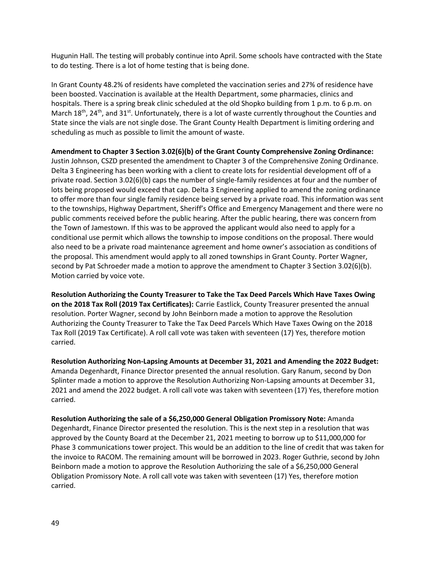Hugunin Hall. The testing will probably continue into April. Some schools have contracted with the State to do testing. There is a lot of home testing that is being done.

In Grant County 48.2% of residents have completed the vaccination series and 27% of residence have been boosted. Vaccination is available at the Health Department, some pharmacies, clinics and hospitals. There is a spring break clinic scheduled at the old Shopko building from 1 p.m. to 6 p.m. on March 18<sup>th</sup>, 24<sup>th</sup>, and 31<sup>st</sup>. Unfortunately, there is a lot of waste currently throughout the Counties and State since the vials are not single dose. The Grant County Health Department is limiting ordering and scheduling as much as possible to limit the amount of waste.

**Amendment to Chapter 3 Section 3.02(6)(b) of the Grant County Comprehensive Zoning Ordinance:** Justin Johnson, CSZD presented the amendment to Chapter 3 of the Comprehensive Zoning Ordinance. Delta 3 Engineering has been working with a client to create lots for residential development off of a private road. Section 3.02(6)(b) caps the number of single-family residences at four and the number of lots being proposed would exceed that cap. Delta 3 Engineering applied to amend the zoning ordinance to offer more than four single family residence being served by a private road. This information was sent to the townships, Highway Department, Sheriff's Office and Emergency Management and there were no public comments received before the public hearing. After the public hearing, there was concern from the Town of Jamestown. If this was to be approved the applicant would also need to apply for a conditional use permit which allows the township to impose conditions on the proposal. There would also need to be a private road maintenance agreement and home owner's association as conditions of the proposal. This amendment would apply to all zoned townships in Grant County. Porter Wagner, second by Pat Schroeder made a motion to approve the amendment to Chapter 3 Section 3.02(6)(b). Motion carried by voice vote.

**Resolution Authorizing the County Treasurer to Take the Tax Deed Parcels Which Have Taxes Owing on the 2018 Tax Roll (2019 Tax Certificates):** Carrie Eastlick, County Treasurer presented the annual resolution. Porter Wagner, second by John Beinborn made a motion to approve the Resolution Authorizing the County Treasurer to Take the Tax Deed Parcels Which Have Taxes Owing on the 2018 Tax Roll (2019 Tax Certificate). A roll call vote was taken with seventeen (17) Yes, therefore motion carried.

**Resolution Authorizing Non-Lapsing Amounts at December 31, 2021 and Amending the 2022 Budget:** Amanda Degenhardt, Finance Director presented the annual resolution. Gary Ranum, second by Don Splinter made a motion to approve the Resolution Authorizing Non-Lapsing amounts at December 31, 2021 and amend the 2022 budget. A roll call vote was taken with seventeen (17) Yes, therefore motion carried.

**Resolution Authorizing the sale of a \$6,250,000 General Obligation Promissory Note:** Amanda Degenhardt, Finance Director presented the resolution. This is the next step in a resolution that was approved by the County Board at the December 21, 2021 meeting to borrow up to \$11,000,000 for Phase 3 communications tower project. This would be an addition to the line of credit that was taken for the invoice to RACOM. The remaining amount will be borrowed in 2023. Roger Guthrie, second by John Beinborn made a motion to approve the Resolution Authorizing the sale of a \$6,250,000 General Obligation Promissory Note. A roll call vote was taken with seventeen (17) Yes, therefore motion carried.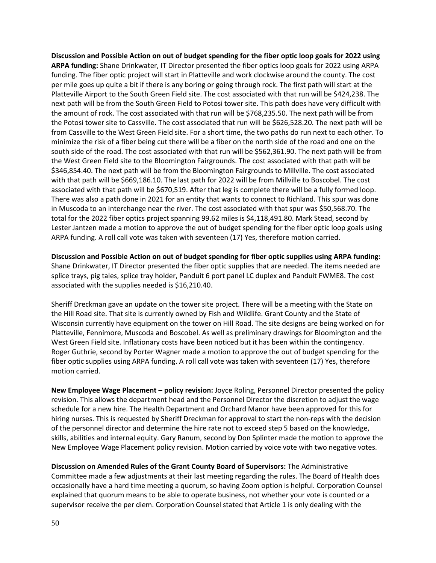**Discussion and Possible Action on out of budget spending for the fiber optic loop goals for 2022 using ARPA funding:** Shane Drinkwater, IT Director presented the fiber optics loop goals for 2022 using ARPA funding. The fiber optic project will start in Platteville and work clockwise around the county. The cost per mile goes up quite a bit if there is any boring or going through rock. The first path will start at the Platteville Airport to the South Green Field site. The cost associated with that run will be \$424,238. The next path will be from the South Green Field to Potosi tower site. This path does have very difficult with the amount of rock. The cost associated with that run will be \$768,235.50. The next path will be from the Potosi tower site to Cassville. The cost associated that run will be \$626,528.20. The next path will be from Cassville to the West Green Field site. For a short time, the two paths do run next to each other. To minimize the risk of a fiber being cut there will be a fiber on the north side of the road and one on the south side of the road. The cost associated with that run will be \$562,361.90. The next path will be from the West Green Field site to the Bloomington Fairgrounds. The cost associated with that path will be \$346,854.40. The next path will be from the Bloomington Fairgrounds to Millville. The cost associated with that path will be \$669,186.10. The last path for 2022 will be from Millville to Boscobel. The cost associated with that path will be \$670,519. After that leg is complete there will be a fully formed loop. There was also a path done in 2021 for an entity that wants to connect to Richland. This spur was done in Muscoda to an interchange near the river. The cost associated with that spur was \$50,568.70. The total for the 2022 fiber optics project spanning 99.62 miles is \$4,118,491.80. Mark Stead, second by Lester Jantzen made a motion to approve the out of budget spending for the fiber optic loop goals using ARPA funding. A roll call vote was taken with seventeen (17) Yes, therefore motion carried.

**Discussion and Possible Action on out of budget spending for fiber optic supplies using ARPA funding:**  Shane Drinkwater, IT Director presented the fiber optic supplies that are needed. The items needed are splice trays, pig tales, splice tray holder, Panduit 6 port panel LC duplex and Panduit FWME8. The cost associated with the supplies needed is \$16,210.40.

Sheriff Dreckman gave an update on the tower site project. There will be a meeting with the State on the Hill Road site. That site is currently owned by Fish and Wildlife. Grant County and the State of Wisconsin currently have equipment on the tower on Hill Road. The site designs are being worked on for Platteville, Fennimore, Muscoda and Boscobel. As well as preliminary drawings for Bloomington and the West Green Field site. Inflationary costs have been noticed but it has been within the contingency. Roger Guthrie, second by Porter Wagner made a motion to approve the out of budget spending for the fiber optic supplies using ARPA funding. A roll call vote was taken with seventeen (17) Yes, therefore motion carried.

**New Employee Wage Placement – policy revision:** Joyce Roling, Personnel Director presented the policy revision. This allows the department head and the Personnel Director the discretion to adjust the wage schedule for a new hire. The Health Department and Orchard Manor have been approved for this for hiring nurses. This is requested by Sheriff Dreckman for approval to start the non-reps with the decision of the personnel director and determine the hire rate not to exceed step 5 based on the knowledge, skills, abilities and internal equity. Gary Ranum, second by Don Splinter made the motion to approve the New Employee Wage Placement policy revision. Motion carried by voice vote with two negative votes.

**Discussion on Amended Rules of the Grant County Board of Supervisors:** The Administrative Committee made a few adjustments at their last meeting regarding the rules. The Board of Health does occasionally have a hard time meeting a quorum, so having Zoom option is helpful. Corporation Counsel explained that quorum means to be able to operate business, not whether your vote is counted or a supervisor receive the per diem. Corporation Counsel stated that Article 1 is only dealing with the